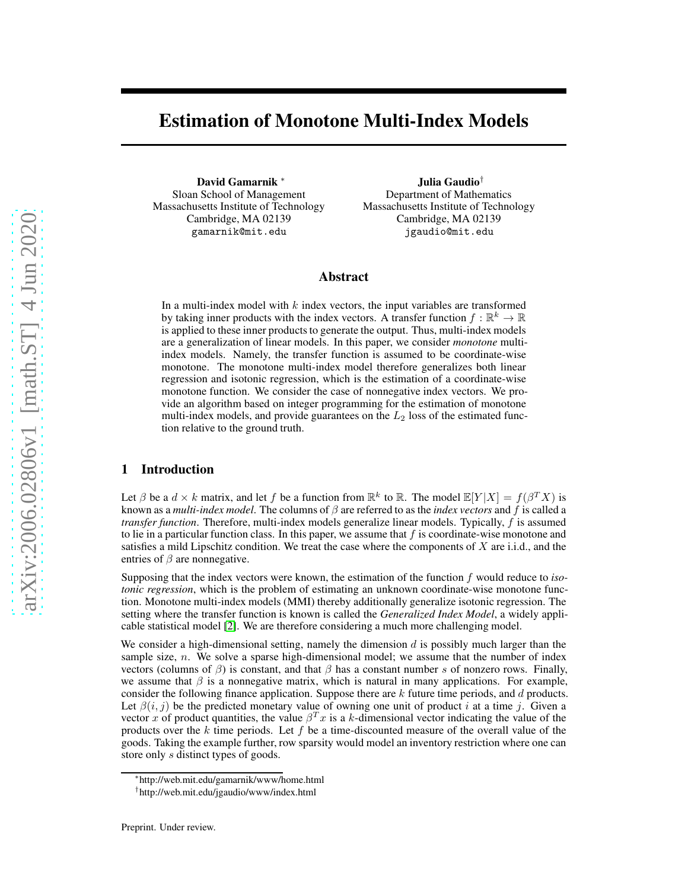# Estimation of Monotone Multi-Index Models

David Gamarnik ∗ Sloan School of Management Massachusetts Institute of Technology Cambridge, MA 02139 gamarnik@mit.edu

Julia Gaudio† Department of Mathematics Massachusetts Institute of Technology Cambridge, MA 02139 jgaudio@mit.edu

## Abstract

In a multi-index model with  $k$  index vectors, the input variables are transformed by taking inner products with the index vectors. A transfer function  $f : \mathbb{R}^k \to \mathbb{R}$ is applied to these inner products to generate the output. Thus, multi-index models are a generalization of linear models. In this paper, we consider *monotone* multiindex models. Namely, the transfer function is assumed to be coordinate-wise monotone. The monotone multi-index model therefore generalizes both linear regression and isotonic regression, which is the estimation of a coordinate-wise monotone function. We consider the case of nonnegative index vectors. We provide an algorithm based on integer programming for the estimation of monotone multi-index models, and provide guarantees on the  $L_2$  loss of the estimated function relative to the ground truth.

# 1 Introduction

Let  $\beta$  be a  $d \times k$  matrix, and let f be a function from  $\mathbb{R}^k$  to  $\mathbb{R}$ . The model  $\mathbb{E}[Y|X] = f(\beta^T X)$  is known as a *multi-index model*. The columns of β are referred to as the *index vectors* and f is called a *transfer function*. Therefore, multi-index models generalize linear models. Typically, f is assumed to lie in a particular function class. In this paper, we assume that  $f$  is coordinate-wise monotone and satisfies a mild Lipschitz condition. We treat the case where the components of  $X$  are i.i.d., and the entries of  $\beta$  are nonnegative.

Supposing that the index vectors were known, the estimation of the function f would reduce to *isotonic regression*, which is the problem of estimating an unknown coordinate-wise monotone function. Monotone multi-index models (MMI) thereby additionally generalize isotonic regression. The setting where the transfer function is known is called the *Generalized Index Model*, a widely applicable statistical model [\[2\]](#page-8-0). We are therefore considering a much more challenging model.

We consider a high-dimensional setting, namely the dimension  $d$  is possibly much larger than the sample size,  $n$ . We solve a sparse high-dimensional model; we assume that the number of index vectors (columns of  $\beta$ ) is constant, and that  $\beta$  has a constant number s of nonzero rows. Finally, we assume that  $\beta$  is a nonnegative matrix, which is natural in many applications. For example, consider the following finance application. Suppose there are  $k$  future time periods, and  $d$  products. Let  $\beta(i, j)$  be the predicted monetary value of owning one unit of product i at a time j. Given a vector x of product quantities, the value  $\beta^{T}x$  is a k-dimensional vector indicating the value of the products over the k time periods. Let f be a time-discounted measure of the overall value of the goods. Taking the example further, row sparsity would model an inventory restriction where one can store only s distinct types of goods.

<sup>∗</sup> http://web.mit.edu/gamarnik/www/home.html

<sup>†</sup> http://web.mit.edu/jgaudio/www/index.html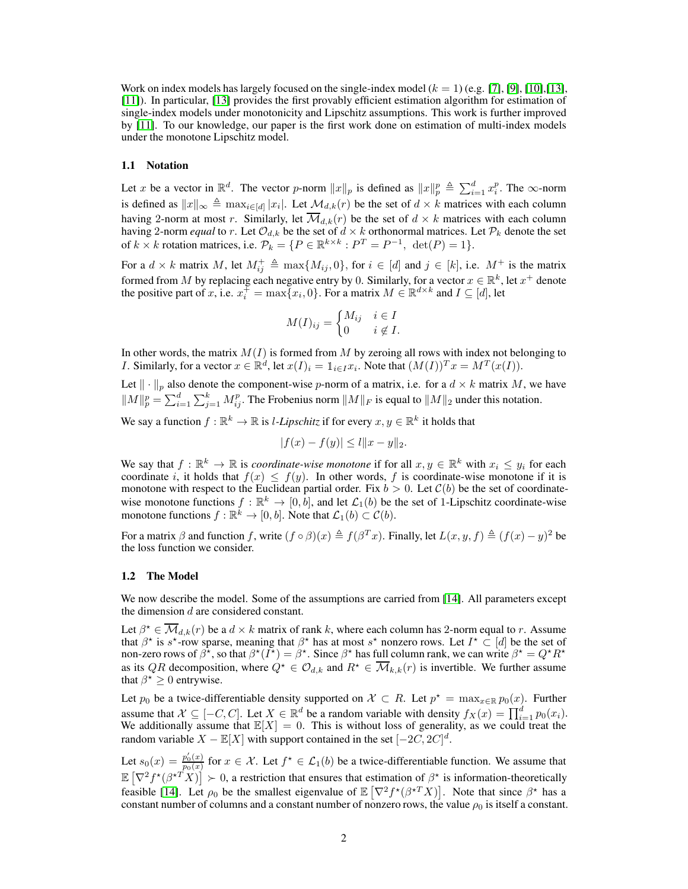Work on index models has largely focused on the single-index model  $(k = 1)$  (e.g. [\[7\]](#page-8-1), [\[9\]](#page-8-2), [\[10\]](#page-8-3), [\[13\]](#page-8-4), [\[11\]](#page-8-5)). In particular, [\[13\]](#page-8-4) provides the first provably efficient estimation algorithm for estimation of single-index models under monotonicity and Lipschitz assumptions. This work is further improved by [\[11\]](#page-8-5). To our knowledge, our paper is the first work done on estimation of multi-index models under the monotone Lipschitz model.

#### 1.1 Notation

Let x be a vector in  $\mathbb{R}^d$ . The vector p-norm  $||x||_p$  is defined as  $||x||_p^p \triangleq \sum_{i=1}^d x_i^p$ . The  $\infty$ -norm is defined as  $||x||_{\infty} \triangleq \max_{i \in [d]} |x_i|$ . Let  $\mathcal{M}_{d,k}(r)$  be the set of  $d \times k$  matrices with each column having 2-norm at most r. Similarly, let  $\overline{\mathcal{M}}_{d,k}(r)$  be the set of  $d \times k$  matrices with each column having 2-norm *equal* to r. Let  $\mathcal{O}_{d,k}$  be the set of  $d \times k$  orthonormal matrices. Let  $\mathcal{P}_k$  denote the set of  $k \times k$  rotation matrices, i.e.  $\mathcal{P}_k = \{P \in \mathbb{R}^{k \times k} : P^T = P^{-1}, \text{ det}(P) = 1\}.$ 

For a  $d \times k$  matrix M, let  $M_{ij}^+ \triangleq \max\{M_{ij}, 0\}$ , for  $i \in [d]$  and  $j \in [k]$ , i.e.  $M^+$  is the matrix formed from M by replacing each negative entry by 0. Similarly, for a vector  $x \in \mathbb{R}^k$ , let  $x^+$  denote the positive part of x, i.e.  $x_i^{\pm} = \max\{x_i, 0\}$ . For a matrix  $M \in \mathbb{R}^{d \times k}$  and  $I \subseteq [d]$ , let

$$
M(I)_{ij} = \begin{cases} M_{ij} & i \in I \\ 0 & i \notin I. \end{cases}
$$

In other words, the matrix  $M(I)$  is formed from M by zeroing all rows with index not belonging to *I*. Similarly, for a vector  $x \in \mathbb{R}^d$ , let  $x(I)_i = 1_{i \in I} x_i$ . Note that  $(M(I))^T x = M^T(x(I))$ .

Let  $\|\cdot\|_p$  also denote the component-wise p-norm of a matrix, i.e. for a  $d \times k$  matrix M, we have  $||M||_p^p = \sum_{i=1}^d \sum_{j=1}^k M_{ij}^p$ . The Frobenius norm  $||M||_F$  is equal to  $||M||_2$  under this notation.

We say a function  $f : \mathbb{R}^k \to \mathbb{R}$  is *l*-*Lipschitz* if for every  $x, y \in \mathbb{R}^k$  it holds that

$$
|f(x) - f(y)| \le l \|x - y\|_2.
$$

We say that  $f : \mathbb{R}^k \to \mathbb{R}$  is *coordinate-wise monotone* if for all  $x, y \in \mathbb{R}^k$  with  $x_i \leq y_i$  for each coordinate i, it holds that  $f(x) \leq f(y)$ . In other words, f is coordinate-wise monotone if it is monotone with respect to the Euclidean partial order. Fix  $b > 0$ . Let  $\mathcal{C}(b)$  be the set of coordinatewise monotone functions  $f : \mathbb{R}^k \to [0, b]$ , and let  $\mathcal{L}_1(b)$  be the set of 1-Lipschitz coordinate-wise monotone functions  $f : \mathbb{R}^k \to [0, b]$ . Note that  $\mathcal{L}_1(b) \subset \mathcal{C}(b)$ .

For a matrix  $\beta$  and function f, write  $(f \circ \beta)(x) \triangleq f(\beta^T x)$ . Finally, let  $L(x, y, f) \triangleq (f(x) - y)^2$  be the loss function we consider.

#### <span id="page-1-0"></span>1.2 The Model

We now describe the model. Some of the assumptions are carried from [\[14\]](#page-8-6). All parameters except the dimension d are considered constant.

Let  $\beta^* \in \overline{\mathcal{M}}_{d,k}(r)$  be a  $d \times k$  matrix of rank k, where each column has 2-norm equal to r. Assume that  $\beta^*$  is s<sup>\*</sup>-row sparse, meaning that  $\beta^*$  has at most s<sup>\*</sup> nonzero rows. Let  $I^* \subset [d]$  be the set of non-zero rows of  $\beta^*$ , so that  $\beta^*(I^*) = \beta^*$ . Since  $\beta^*$  has full column rank, we can write  $\beta^* = Q^* R^*$ as its QR decomposition, where  $Q^* \in \mathcal{O}_{d,k}$  and  $R^* \in \overline{\mathcal{M}}_{k,k}(r)$  is invertible. We further assume that  $\beta^* \geq 0$  entrywise.

Let  $p_0$  be a twice-differentiable density supported on  $\mathcal{X} \subset R$ . Let  $p^* = \max_{x \in \mathbb{R}} p_0(x)$ . Further assume that  $\mathcal{X} \subseteq [-C, C]$ . Let  $X \in \mathbb{R}^d$  be a random variable with density  $f_X(x) = \prod_{i=1}^d p_0(x_i)$ . We additionally assume that  $\mathbb{E}[X] = 0$ . This is without loss of generality, as we could treat the random variable  $X - \mathbb{E}[X]$  with support contained in the set  $[-2C, 2C]^d$ .

Let  $s_0(x) = \frac{p'_0(x)}{p_0(x)}$  $\frac{p_0(x)}{p_0(x)}$  for  $x \in \mathcal{X}$ . Let  $f^* \in \mathcal{L}_1(b)$  be a twice-differentiable function. We assume that  $\mathbb{E}\left[\nabla^2 f^{\star}(\beta^{\star T} X)\right] \succ 0$ , a restriction that ensures that estimation of  $\beta^{\star}$  is information-theoretically feasible [\[14\]](#page-8-6). Let  $\rho_0$  be the smallest eigenvalue of  $\mathbb{E}[\nabla^2 f^*(\beta^{*T} X)]$ . Note that since  $\beta^*$  has a constant number of columns and a constant number of nonzero rows, the value  $\rho_0$  is itself a constant.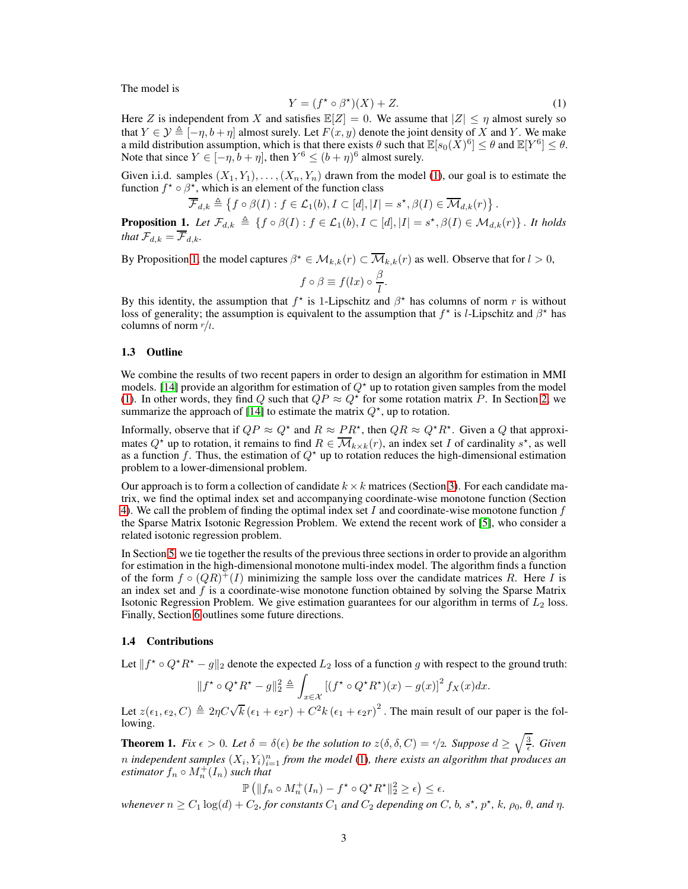The model is

<span id="page-2-0"></span>
$$
Y = (f^* \circ \beta^*)(X) + Z.
$$
 (1)

Here Z is independent from X and satisfies  $\mathbb{E}[Z] = 0$ . We assume that  $|Z| \leq \eta$  almost surely so that  $Y \in \mathcal{Y} \triangleq [-\eta, b + \eta]$  almost surely. Let  $F(x, y)$  denote the joint density of X and Y. We make a mild distribution assumption, which is that there exists  $\theta$  such that  $\mathbb{E}[s_0(\tilde{X})^6] \leq \theta$  and  $\mathbb{E}[Y^6] \leq \theta$ . Note that since  $Y \in [-\eta, b + \eta]$ , then  $Y^6 \le (b + \eta)^6$  almost surely.

Given i.i.d. samples  $(X_1, Y_1), \ldots, (X_n, Y_n)$  drawn from the model [\(1\)](#page-2-0), our goal is to estimate the function  $f^* \circ \beta^*$ , which is an element of the function class

$$
\overline{\mathcal{F}}_{d,k} \triangleq \left\{ f \circ \beta(I) : f \in \mathcal{L}_1(b), I \subset [d], |I| = s^{\star}, \beta(I) \in \overline{\mathcal{M}}_{d,k}(r) \right\}.
$$

<span id="page-2-1"></span>**Proposition 1.** Let  $\mathcal{F}_{d,k} \triangleq \{f \circ \beta(I) : f \in \mathcal{L}_1(b), I \subset [d], |I| = s^{\star}, \beta(I) \in \mathcal{M}_{d,k}(r)\}\$ . It holds *that*  $\mathcal{F}_{d,k} = \overline{\mathcal{F}}_{d,k}$ *.* 

By Proposition [1,](#page-2-1) the model captures  $\beta^* \in \mathcal{M}_{k,k}(r) \subset \overline{\mathcal{M}}_{k,k}(r)$  as well. Observe that for  $l > 0$ ,

$$
f\circ\beta\equiv f(lx)\circ\frac{\beta}{l}.
$$

By this identity, the assumption that  $f^*$  is 1-Lipschitz and  $\beta^*$  has columns of norm r is without loss of generality; the assumption is equivalent to the assumption that  $f^*$  is *l*-Lipschitz and  $\beta^*$  has columns of norm  $r/l$ .

#### 1.3 Outline

We combine the results of two recent papers in order to design an algorithm for estimation in MMI models. [\[14\]](#page-8-6) provide an algorithm for estimation of  $Q^*$  up to rotation given samples from the model [\(1\)](#page-2-0). In other words, they find Q such that  $QP \approx Q^*$  for some rotation matrix P. In Section [2,](#page-3-0) we summarize the approach of [\[14\]](#page-8-6) to estimate the matrix  $Q^*$ , up to rotation.

Informally, observe that if  $QP \approx Q^*$  and  $R \approx PR^*$ , then  $QR \approx Q^*R^*$ . Given a Q that approximates  $Q^*$  up to rotation, it remains to find  $R \in \overline{\mathcal{M}}_{k \times k}(r)$ , an index set I of cardinality  $s^*$ , as well as a function f. Thus, the estimation of  $Q^*$  up to rotation reduces the high-dimensional estimation problem to a lower-dimensional problem.

Our approach is to form a collection of candidate  $k \times k$  matrices (Section [3\)](#page-3-1). For each candidate matrix, we find the optimal index set and accompanying coordinate-wise monotone function (Section [4\)](#page-4-0). We call the problem of finding the optimal index set  $I$  and coordinate-wise monotone function  $f$ the Sparse Matrix Isotonic Regression Problem. We extend the recent work of [\[5\]](#page-8-7), who consider a related isotonic regression problem.

In Section [5,](#page-5-0) we tie together the results of the previous three sections in order to provide an algorithm for estimation in the high-dimensional monotone multi-index model. The algorithm finds a function of the form  $f \circ (QR)^+ (I)$  minimizing the sample loss over the candidate matrices R. Here I is an index set and  $f$  is a coordinate-wise monotone function obtained by solving the Sparse Matrix Isotonic Regression Problem. We give estimation guarantees for our algorithm in terms of  $L_2$  loss. Finally, Section [6](#page-8-8) outlines some future directions.

## 1.4 Contributions

Let  $|| f^* \circ Q^* R^* - g||_2$  denote the expected  $L_2$  loss of a function g with respect to the ground truth:

$$
||f^{\star} \circ Q^{\star} R^{\star} - g||_2^2 \triangleq \int_{x \in \mathcal{X}} \left[ (f^{\star} \circ Q^{\star} R^{\star})(x) - g(x) \right]^2 f_X(x) dx.
$$

 $J_{x \in \mathcal{X}}$ <br>Let  $z(\epsilon_1, \epsilon_2, C) \triangleq 2\eta C \sqrt{k} (\epsilon_1 + \epsilon_2 r) + C^2 k (\epsilon_1 + \epsilon_2 r)^2$ . The main result of our paper is the following.

<span id="page-2-2"></span>**Theorem 1.** Fix  $\epsilon > 0$ . Let  $\delta = \delta(\epsilon)$  be the solution to  $z(\delta, \delta, C) = \frac{\epsilon}{2}$ . Suppose  $d \ge \sqrt{\frac{3}{\epsilon}}$ . Given *n* independent samples  $(X_i, Y_i)_{i=1}^n$  from the model [\(1\)](#page-2-0), there exists an algorithm that produces an *estimator*  $f_n \circ M_n^{\dagger}(I_n)$  *such that* 

$$
\mathbb{P}\left(\|f_n \circ M_n^+(I_n) - f^\star \circ Q^\star R^\star\|^2_2 \geq \epsilon\right) \leq \epsilon.
$$

*whenever*  $n \ge C_1 \log(d) + C_2$ , for constants  $C_1$  and  $C_2$  depending on C, b, s<sup>\*</sup>, p<sup>\*</sup>, k,  $\rho_0$ ,  $\theta$ , and  $\eta$ .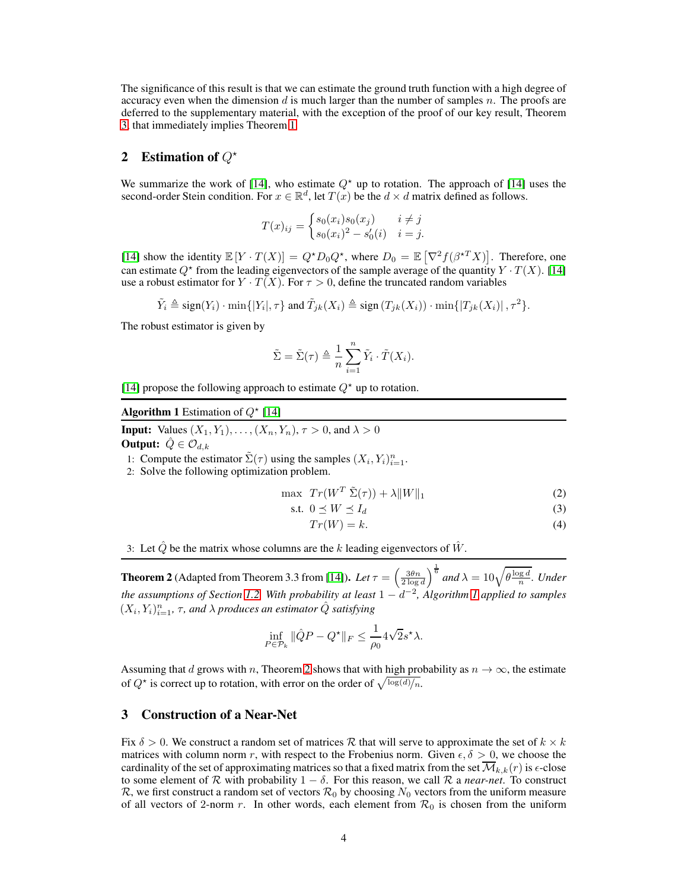The significance of this result is that we can estimate the ground truth function with a high degree of accuracy even when the dimension d is much larger than the number of samples  $n$ . The proofs are deferred to the supplementary material, with the exception of the proof of our key result, Theorem [3,](#page-5-1) that immediately implies Theorem [1.](#page-2-2)

# <span id="page-3-0"></span>2 Estimation of  $Q^*$

We summarize the work of [\[14\]](#page-8-6), who estimate  $Q^*$  up to rotation. The approach of [\[14\]](#page-8-6) uses the second-order Stein condition. For  $x \in \mathbb{R}^d$ , let  $T(x)$  be the  $d \times d$  matrix defined as follows.

$$
T(x)_{ij} = \begin{cases} s_0(x_i)s_0(x_j) & i \neq j \\ s_0(x_i)^2 - s'_0(i) & i = j. \end{cases}
$$

[\[14\]](#page-8-6) show the identity  $\mathbb{E}[Y \cdot T(X)] = Q^* D_0 Q^*$ , where  $D_0 = \mathbb{E}[\nabla^2 f(\beta^{*T} X)]$ . Therefore, one can estimate  $Q^*$  from the leading eigenvectors of the sample average of the quantity  $Y \cdot T(X)$ . [\[14\]](#page-8-6) use a robust estimator for  $Y \cdot T(X)$ . For  $\tau > 0$ , define the truncated random variables

$$
\tilde{Y}_i \triangleq \text{sign}(Y_i) \cdot \min\{|Y_i|, \tau\} \text{ and } \tilde{T}_{jk}(X_i) \triangleq \text{sign}(T_{jk}(X_i)) \cdot \min\{|T_{jk}(X_i)|, \tau^2\}.
$$

The robust estimator is given by

$$
\tilde{\Sigma} = \tilde{\Sigma}(\tau) \triangleq \frac{1}{n} \sum_{i=1}^{n} \tilde{Y}_i \cdot \tilde{T}(X_i).
$$

<span id="page-3-2"></span>[\[14\]](#page-8-6) propose the following approach to estimate  $Q^*$  up to rotation.

Algorithm 1 Estimation of  $Q^*$  [\[14\]](#page-8-6)

**Input:** Values  $(X_1, Y_1), \ldots, (X_n, Y_n), \tau > 0$ , and  $\lambda > 0$ 

**Output:**  $\hat{Q} \in \mathcal{O}_{d,k}$ 

1: Compute the estimator  $\tilde{\Sigma}(\tau)$  using the samples  $(X_i, Y_i)_{i=1}^n$ .

2: Solve the following optimization problem.

$$
\max \ T r(W^T \ \tilde{\Sigma}(\tau)) + \lambda \|W\|_1 \tag{2}
$$

$$
\text{s.t. } 0 \le W \le I_d \tag{3}
$$

$$
Tr(W) = k.\t\t(4)
$$

3: Let  $\hat{Q}$  be the matrix whose columns are the k leading eigenvectors of  $\hat{W}$ .

<span id="page-3-3"></span>**Theorem 2** (Adapted from Theorem 3.3 from [\[14\]](#page-8-6)). *Let*  $\tau = \left(\frac{3\theta n}{2\log d}\right)^{\frac{1}{6}}$  and  $\lambda = 10\sqrt{\theta \frac{\log d}{n}}$ . *Under the assumptions of Section [1.2,](#page-1-0) With probability at least* 1 − d −2 *, Algorithm [1](#page-3-2) applied to samples*  $(X_i, Y_i)_{i=1}^n$ ,  $\tau$ , and  $\lambda$  produces an estimator  $\hat{Q}$  satisfying

$$
\inf_{P \in \mathcal{P}_k} \|\hat{Q}P - Q^{\star}\|_F \le \frac{1}{\rho_0} 4\sqrt{2s}^{\star} \lambda.
$$

Assuming that d grows with n, Theorem [2](#page-3-3) shows that with high probability as  $n \to \infty$ , the estimate of  $Q^*$  is correct up to rotation, with error on the order of  $\sqrt{\log(d)/n}$ .

# <span id="page-3-1"></span>3 Construction of a Near-Net

Fix  $\delta > 0$ . We construct a random set of matrices R that will serve to approximate the set of  $k \times k$ matrices with column norm r, with respect to the Frobenius norm. Given  $\epsilon, \delta > 0$ , we choose the cardinality of the set of approximating matrices so that a fixed matrix from the set  $\overline{\mathcal{M}}_{k,k}(r)$  is  $\epsilon$ -close to some element of R with probability  $1 - \delta$ . For this reason, we call R a *near-net*. To construct R, we first construct a random set of vectors  $\mathcal{R}_0$  by choosing  $N_0$  vectors from the uniform measure of all vectors of 2-norm r. In other words, each element from  $\mathcal{R}_0$  is chosen from the uniform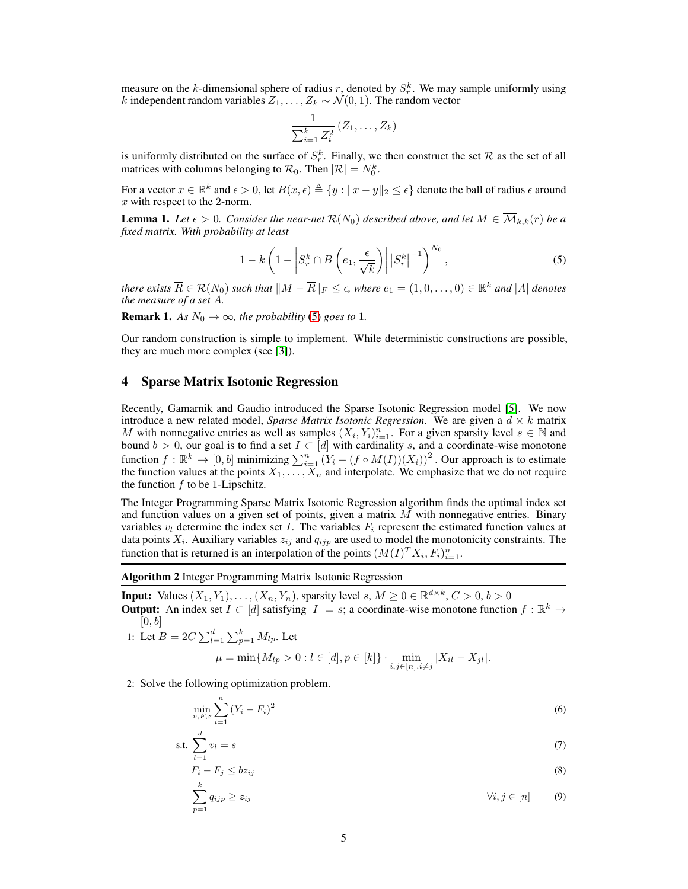measure on the k-dimensional sphere of radius r, denoted by  $S_r^k$ . We may sample uniformly using k independent random variables  $Z_1, \ldots, Z_k \sim \mathcal{N}(0, 1)$ . The random vector

<span id="page-4-1"></span>
$$
\frac{1}{\sum_{i=1}^k Z_i^2} (Z_1, \ldots, Z_k)
$$

is uniformly distributed on the surface of  $S_r^k$ . Finally, we then construct the set R as the set of all matrices with columns belonging to  $\mathcal{R}_0$ . Then  $|\mathcal{R}| = N_0^k$ .

For a vector  $x \in \mathbb{R}^k$  and  $\epsilon > 0$ , let  $B(x, \epsilon) \triangleq \{y : ||x - y||_2 \leq \epsilon\}$  denote the ball of radius  $\epsilon$  around x with respect to the 2-norm.

<span id="page-4-3"></span>**Lemma 1.** Let  $\epsilon > 0$ . Consider the near-net  $\mathcal{R}(N_0)$  described above, and let  $M \in \overline{\mathcal{M}}_{k,k}(r)$  be a *fixed matrix. With probability at least*

$$
1 - k \left( 1 - \left| S_r^k \cap B \left( e_1, \frac{\epsilon}{\sqrt{k}} \right) \right| \left| S_r^k \right|^{-1} \right)^{N_0}, \tag{5}
$$

*there exists*  $\overline{R} \in \mathcal{R}(N_0)$  *such that*  $||M - \overline{R}||_F \leq \epsilon$ , where  $e_1 = (1, 0, \ldots, 0) \in \mathbb{R}^k$  and |A| *denotes the measure of a set* A*.*

**Remark 1.** *As*  $N_0 \rightarrow \infty$ *, the probability* [\(5\)](#page-4-1) *goes to* 1*.* 

Our random construction is simple to implement. While deterministic constructions are possible, they are much more complex (see [\[3\]](#page-8-9)).

## <span id="page-4-0"></span>4 Sparse Matrix Isotonic Regression

Recently, Gamarnik and Gaudio introduced the Sparse Isotonic Regression model [\[5\]](#page-8-7). We now introduce a new related model, *Sparse Matrix Isotonic Regression*. We are given a  $d \times k$  matrix M with nonnegative entries as well as samples  $(X_i, Y_i)_{i=1}^n$ . For a given sparsity level  $s \in \mathbb{N}$  and bound  $b > 0$ , our goal is to find a set  $I \subset [d]$  with cardinality s, and a coordinate-wise monotone function  $f : \mathbb{R}^k \to [0, b]$  minimizing  $\sum_{i=1}^n (Y_i - (f \circ M(I)) (X_i))^2$ . Our approach is to estimate the function values at the points  $X_1, \ldots, X_n$  and interpolate. We emphasize that we do not require the function  $f$  to be 1-Lipschitz.

The Integer Programming Sparse Matrix Isotonic Regression algorithm finds the optimal index set and function values on a given set of points, given a matrix  $M$  with nonnegative entries. Binary variables  $v_l$  determine the index set I. The variables  $F_i$  represent the estimated function values at data points  $X_i$ . Auxiliary variables  $z_{ij}$  and  $q_{ijp}$  are used to model the monotonicity constraints. The function that is returned is an interpolation of the points  $(M(I)^T X_i, F_i)_{i=1}^n$ .

<span id="page-4-2"></span>Algorithm 2 Integer Programming Matrix Isotonic Regression

**Input:** Values  $(X_1, Y_1), \ldots, (X_n, Y_n)$ , sparsity level  $s, M \ge 0 \in \mathbb{R}^{d \times k}, C > 0, b > 0$ 

**Output:** An index set  $I \subset [d]$  satisfying  $|I| = s$ ; a coordinate-wise monotone function  $f : \mathbb{R}^k \to$  $[0, b]$ 

1: Let 
$$
B = 2C \sum_{l=1}^{d} \sum_{p=1}^{k} M_{lp}
$$
. Let

<span id="page-4-4"></span>
$$
\mu = \min\{M_{lp} > 0 : l \in [d], p \in [k]\} \cdot \min_{i,j \in [n], i \neq j} |X_{il} - X_{jl}|.
$$

2: Solve the following optimization problem.

$$
\min_{v, F, z} \sum_{i=1}^{n} (Y_i - F_i)^2
$$
\n(6)

$$
\text{s.t. } \sum_{l=1}^{d} v_l = s \tag{7}
$$

$$
F_i - F_j \le bz_{ij} \tag{8}
$$

<span id="page-4-5"></span>
$$
\sum_{p=1}^{k} q_{ijp} \ge z_{ij} \qquad \qquad \forall i, j \in [n] \qquad (9)
$$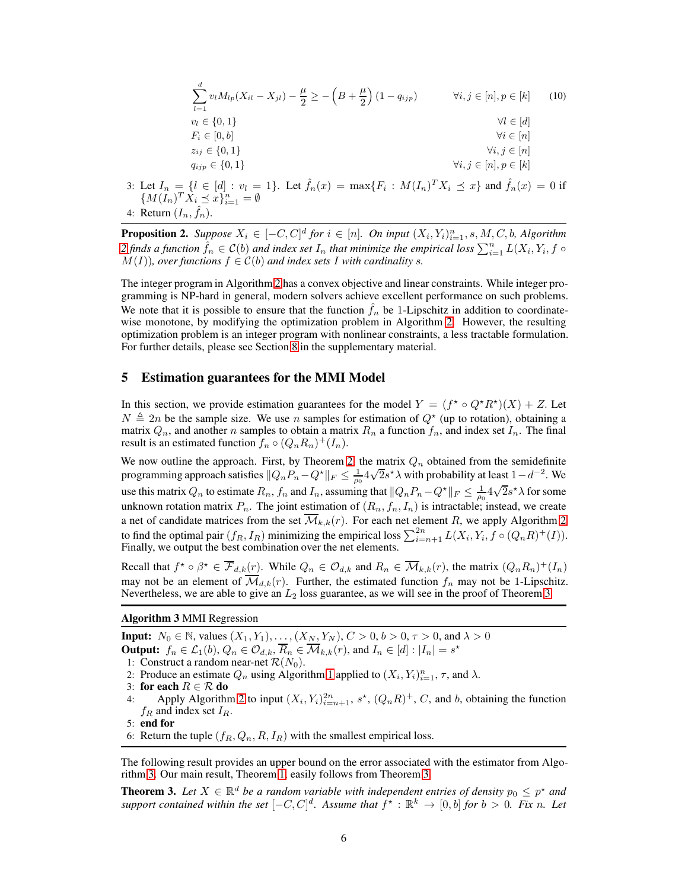<span id="page-5-4"></span>
$$
\sum_{l=1}^{d} v_l M_{lp}(X_{il} - X_{jl}) - \frac{\mu}{2} \ge -\left(B + \frac{\mu}{2}\right)(1 - q_{ijp}) \qquad \forall i, j \in [n], p \in [k] \tag{10}
$$
\n
$$
v_l \in \{0, 1\} \qquad \forall l \in [d]
$$
\n
$$
F_i \in [0, b]
$$
\n
$$
z_{ij} \in \{0, 1\} \qquad \forall i, j \in [n], p \in [k]
$$
\n
$$
q_{ijp} \in \{0, 1\} \qquad \forall i, j \in [n], p \in [k]
$$
\nLet  $I_n = \{I \in [d] : y_l = 1\}$  Let  $\hat{f}_n(x) = \max\{F_i : M(I_n)^T X_i \prec x\}$  and  $\hat{f}_n(x) = 0$  if

3: Let  $I_n = \{l \in [d] : v_l = 1\}$ . Let  $\hat{f}_n(x) = \max\{F_i\}$ :  $M(I_n)^T X_i \preceq x$  and  $\hat{f}_n(x) = 0$  if  ${M(I_n)^T \dot{X}_i \preceq \dot{x}}_{i=1}^n = \emptyset$ 4: Return  $(I_n, \hat{f}_n)$ .

<span id="page-5-3"></span>**Proposition 2.** Suppose  $X_i \in [-C, C]^d$  for  $i \in [n]$ . On input  $(X_i, Y_i)_{i=1}^n$ , s, M, C, b, Algorithm [2](#page-4-2) finds a function  $\hat{f}_n \in \mathcal{C}(b)$  and index set  $I_n$  that minimize the empirical loss  $\sum_{i=1}^n L(X_i, Y_i, f \circ f)$  $M(I)$ *), over functions*  $f \in C(b)$  *and index sets* I *with cardinality s*.

The integer program in Algorithm [2](#page-4-2) has a convex objective and linear constraints. While integer programming is NP-hard in general, modern solvers achieve excellent performance on such problems. We note that it is possible to ensure that the function  $f_n$  be 1-Lipschitz in addition to coordinatewise monotone, by modifying the optimization problem in Algorithm [2.](#page-4-2) However, the resulting optimization problem is an integer program with nonlinear constraints, a less tractable formulation. For further details, please see Section [8](#page-16-0) in the supplementary material.

## <span id="page-5-0"></span>5 Estimation guarantees for the MMI Model

In this section, we provide estimation guarantees for the model  $Y = (f^* \circ Q^* R^*)(X) + Z$ . Let  $N \triangleq 2n$  be the sample size. We use n samples for estimation of  $Q^*$  (up to rotation), obtaining a matrix  $Q_n$ , and another n samples to obtain a matrix  $R_n$  a function  $f_n$ , and index set  $I_n$ . The final result is an estimated function  $f_n \circ (Q_n R_n)^+ (I_n)$ .

We now outline the approach. First, by Theorem [2,](#page-3-3) the matrix  $Q_n$  obtained from the semidefinite programming approach satisfies  $||Q_nP_n - Q^*||_F \le \frac{1}{\rho_0} 4\sqrt{2}s^*\lambda$  with probability at least  $1-d^{-2}$ . We use this matrix  $Q_n$  to estimate  $R_n$ ,  $f_n$  and  $I_n$ , assuming that  $||Q_nP_n-Q^*||_F \leq \frac{1}{\rho_0}4\sqrt{2}s^*\lambda$  for some unknown rotation matrix  $P_n$ . The joint estimation of  $(R_n, f_n, I_n)$  is intractable; instead, we create a net of candidate matrices from the set  $\overline{\mathcal{M}}_{k,k}(r)$ . For each net element R, we apply Algorithm [2](#page-4-2) to find the optimal pair  $(f_R, I_R)$  minimizing the empirical loss  $\sum_{i=n+1}^{2n} L(X_i, Y_i, f \circ (Q_n R)^+(I)).$ Finally, we output the best combination over the net elements.

Recall that  $f^* \circ \beta^* \in \overline{\mathcal{F}}_{d,k}(r)$ . While  $Q_n \in \mathcal{O}_{d,k}$  and  $R_n \in \overline{\mathcal{M}}_{k,k}(r)$ , the matrix  $(Q_n R_n)^+(I_n)$ may not be an element of  $\overline{\mathcal{M}}_{d,k}(r)$ . Further, the estimated function  $f_n$  may not be 1-Lipschitz. Nevertheless, we are able to give an  $L_2$  loss guarantee, as we will see in the proof of Theorem [3.](#page-5-1)

### <span id="page-5-2"></span>Algorithm 3 MMI Regression

**Input:**  $N_0 \in \mathbb{N}$ , values  $(X_1, Y_1), \ldots, (X_N, Y_N), C > 0, b > 0, \tau > 0$ , and  $\lambda > 0$ **Output:**  $f_n \in \mathcal{L}_1(b)$ ,  $Q_n \in \mathcal{O}_{d,k}$ ,  $\overline{R}_n \in \overline{\mathcal{M}}_{k,k}(r)$ , and  $I_n \in [d] : |I_n| = s^*$ 

- 1: Construct a random near-net  $\mathcal{R}(N_0)$ .
- 2: Produce an estimate  $Q_n$  using Algorithm [1](#page-3-2) applied to  $(X_i, Y_i)_{i=1}^n$ ,  $\tau$ , and  $\lambda$ .
- 3: for each  $R \in \mathcal{R}$  do 4: Apply Algorithm
- 4: Apply Algorithm [2](#page-4-2) to input  $(X_i, Y_i)_{i=n+1}^{2n}$ ,  $s^*$ ,  $(Q_n R)^+$ , C, and b, obtaining the function  $f_R$  and index set  $I_R$ .

6: Return the tuple  $(f_R, Q_n, R, I_R)$  with the smallest empirical loss.

The following result provides an upper bound on the error associated with the estimator from Algorithm [3.](#page-5-2) Our main result, Theorem [1,](#page-2-2) easily follows from Theorem [3.](#page-5-1)

<span id="page-5-1"></span>**Theorem 3.** Let  $X \in \mathbb{R}^d$  be a random variable with independent entries of density  $p_0 \leq p^*$  and *support contained within the set*  $[-C, C]^d$ . Assume that  $f^* : \mathbb{R}^k \to [0, b]$  *for*  $b > 0$ . Fix n. Let

<sup>5:</sup> end for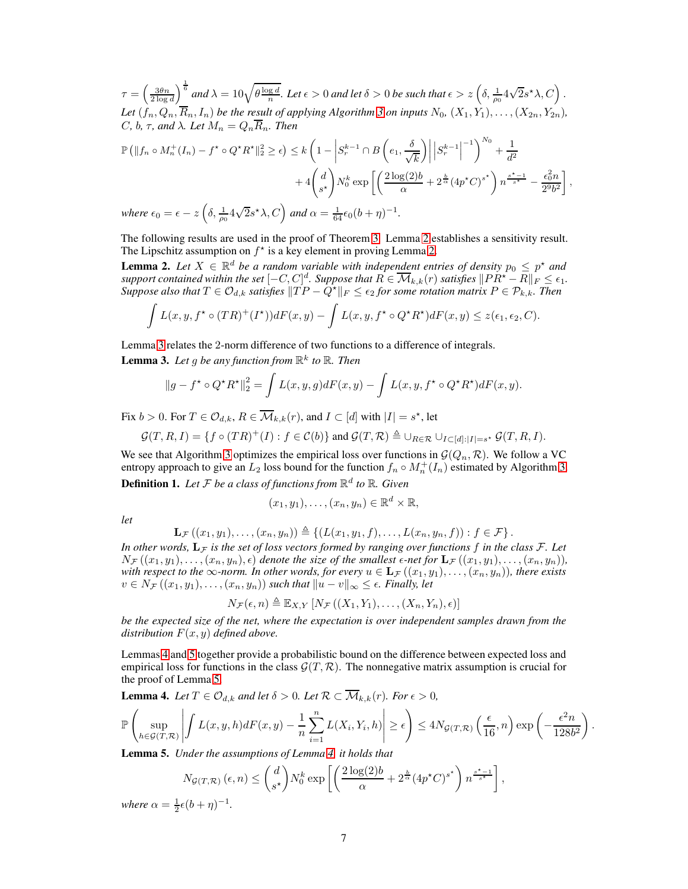$\tau = \left(\frac{3\theta n}{2\log d}\right)^{\frac{1}{6}}$  and  $\lambda = 10\sqrt{\theta \frac{\log d}{n}}$ . Let  $\epsilon > 0$  and let  $\delta > 0$  be such that  $\epsilon > z\left(\delta, \frac{1}{\rho_0} 4\sqrt{2}s^{\star}\lambda, C\right)$ . Let  $(f_n, Q_n, \overline{R}_n, I_n)$  *be the result of applying Algorithm [3](#page-5-2) on inputs*  $N_0$ ,  $(X_1, Y_1), \ldots, (X_{2n}, Y_{2n})$ *,* C, b,  $\tau$ , and  $\lambda$ . Let  $M_n = Q_n \overline{R}_n$ . Then

$$
\mathbb{P}\left(\|f_n \circ M_n^+(I_n) - f^\star \circ Q^\star R^\star\|_2^2 \ge \epsilon\right) \le k\left(1 - \left|S_r^{k-1} \cap B\left(e_1, \frac{\delta}{\sqrt{k}}\right)\right| \left|S_r^{k-1}\right|^{-1}\right)^{N_0} + \frac{1}{d^2}
$$

$$
+ 4\left(\frac{d}{s^\star}\right) N_0^k \exp\left[\left(\frac{2\log(2)b}{\alpha} + 2^{\frac{b}{\alpha}}(4p^\star C)^{s^\star}\right) n^{\frac{s^\star - 1}{s^\star}} - \frac{\epsilon_0^2 n}{2^9 b^2}\right],
$$
  
where  $\epsilon_0 = \epsilon - z \left(\delta, \frac{1}{\alpha} 4\sqrt{2} s^\star \lambda, C\right)$  and  $\alpha = \frac{1}{64} \epsilon_0 (b + \eta)^{-1}.$ 

*where*  $\epsilon_0 = \epsilon - z$  $\left(\delta, \frac{1}{\rho_0} 4\sqrt{2}s^{\star}\lambda, C\right)$  and  $\alpha = \frac{1}{64}$  $64$  c<sub>0</sub> $\sigma$ 

The following results are used in the proof of Theorem [3.](#page-5-1) Lemma [2](#page-6-0) establishes a sensitivity result. The Lipschitz assumption on  $f^*$  is a key element in proving Lemma [2.](#page-6-0)

<span id="page-6-0"></span>**Lemma 2.** Let  $X \in \mathbb{R}^d$  be a random variable with independent entries of density  $p_0 \leq p^*$  and *support contained within the set*  $[-C, C]^d$ *. Suppose that*  $R \in \overline{\mathcal{M}}_{k,k}(r)$  *satisfies*  $\|PR^* - R\|_F \le \epsilon_1$ *. Suppose also that*  $T \in \mathcal{O}_{d,k}$  *satisfies*  $\|T P - \hat{Q}^{\star}\|_F \leq \epsilon_2$  *for some rotation matrix*  $P \in \mathcal{P}_{k,k}$ *. Then* 

$$
\int L(x,y,f^{\star}\circ (TR)^{+}(I^{\star}))dF(x,y)-\int L(x,y,f^{\star}\circ Q^{\star}R^{\star})dF(x,y)\leq z(\epsilon_{1},\epsilon_{2},C).
$$

Lemma [3](#page-6-1) relates the 2-norm difference of two functions to a difference of integrals.

<span id="page-6-1"></span>**Lemma 3.** Let g be any function from  $\mathbb{R}^k$  to  $\mathbb{R}$ . Then

$$
||g - f^* \circ Q^* R^*||_2^2 = \int L(x, y, g) dF(x, y) - \int L(x, y, f^* \circ Q^* R^*) dF(x, y).
$$

Fix  $b > 0$ . For  $T \in \mathcal{O}_{d,k}$ ,  $R \in \overline{\mathcal{M}}_{k,k}(r)$ , and  $I \subset [d]$  with  $|I| = s^*$ , let

$$
\mathcal{G}(T,R,I) = \{ f \circ (TR)^+(I) : f \in \mathcal{C}(b) \} \text{ and } \mathcal{G}(T,R) \triangleq \cup_{R \in \mathcal{R}} \cup_{I \subset [d]:|I|=s^*} \mathcal{G}(T,R,I).
$$

We see that Algorithm [3](#page-5-2) optimizes the empirical loss over functions in  $\mathcal{G}(Q_n, \mathcal{R})$ . We follow a VC entropy approach to give an  $L_2$  loss bound for the function  $f_n \circ M_n^+(I_n)$  estimated by Algorithm [3.](#page-5-2) **Definition 1.** Let  $\mathcal F$  be a class of functions from  $\mathbb R^d$  to  $\mathbb R$ . Given

$$
(x_1,y_1),\ldots,(x_n,y_n)\in\mathbb{R}^d\times\mathbb{R},
$$

*let*

$$
\mathbf{L}_{\mathcal{F}}((x_1,y_1),\ldots,(x_n,y_n))\triangleq \left\{ (L(x_1,y_1,f),\ldots,L(x_n,y_n,f)) : f\in\mathcal{F} \right\}.
$$

In other words,  $L_F$  *is the set of loss vectors formed by ranging over functions* f *in the class*  $\mathcal{F}$ *. Let*  $N_{\mathcal{F}}((x_1, y_1), \ldots, (x_n, y_n), \epsilon)$  denote the size of the smallest  $\epsilon$ -net for  $\mathbf{L}_{\mathcal{F}}((x_1, y_1), \ldots, (x_n, y_n)),$ *with respect to the*  $\infty$ *-norm. In other words, for every*  $u \in L_{\mathcal{F}}((x_1, y_1), \ldots, (x_n, y_n))$ *, there exists*  $v \in N_{\mathcal{F}}((x_1, y_1), \ldots, (x_n, y_n))$  *such that*  $||u - v||_{\infty} \leq \epsilon$ *. Finally, let* 

 $N_{\mathcal{F}}(\epsilon, n) \triangleq \mathbb{E}_{X,Y} [N_{\mathcal{F}}((X_1, Y_1), \ldots, (X_n, Y_n), \epsilon)]$ 

*be the expected size of the net, where the expectation is over independent samples drawn from the distribution*  $F(x, y)$  *defined above.* 

Lemmas [4](#page-6-2) and [5](#page-6-3) together provide a probabilistic bound on the difference between expected loss and empirical loss for functions in the class  $\mathcal{G}(T,\mathcal{R})$ . The nonnegative matrix assumption is crucial for the proof of Lemma [5.](#page-6-3)

<span id="page-6-2"></span>**Lemma 4.** Let  $T \in \mathcal{O}_{d,k}$  and let  $\delta > 0$ . Let  $\mathcal{R} \subset \overline{\mathcal{M}}_{k,k}(r)$ . For  $\epsilon > 0$ ,

$$
\mathbb{P}\left(\sup_{h\in\mathcal{G}(T,\mathcal{R})}\left| \int L(x,y,h)dF(x,y) - \frac{1}{n}\sum_{i=1}^n L(X_i,Y_i,h) \right| \geq \epsilon\right) \leq 4N_{\mathcal{G}(T,\mathcal{R})}\left(\frac{\epsilon}{16},n\right)\exp\left(-\frac{\epsilon^2n}{128b^2}\right).
$$

<span id="page-6-3"></span>Lemma 5. *Under the assumptions of Lemma [4,](#page-6-2) it holds that*

$$
N_{\mathcal{G}(T,\mathcal{R})}\left(\epsilon, n\right) \leq \binom{d}{s^{\star}} N_0^k \exp\left[\left(\frac{2\log(2)b}{\alpha} + 2^{\frac{b}{\alpha}} (4p^{\star}C)^{s^{\star}}\right) n^{\frac{s^{\star}-1}{s^{\star}}}\right],
$$

where  $\alpha = \frac{1}{2} \epsilon (b + \eta)^{-1}$ .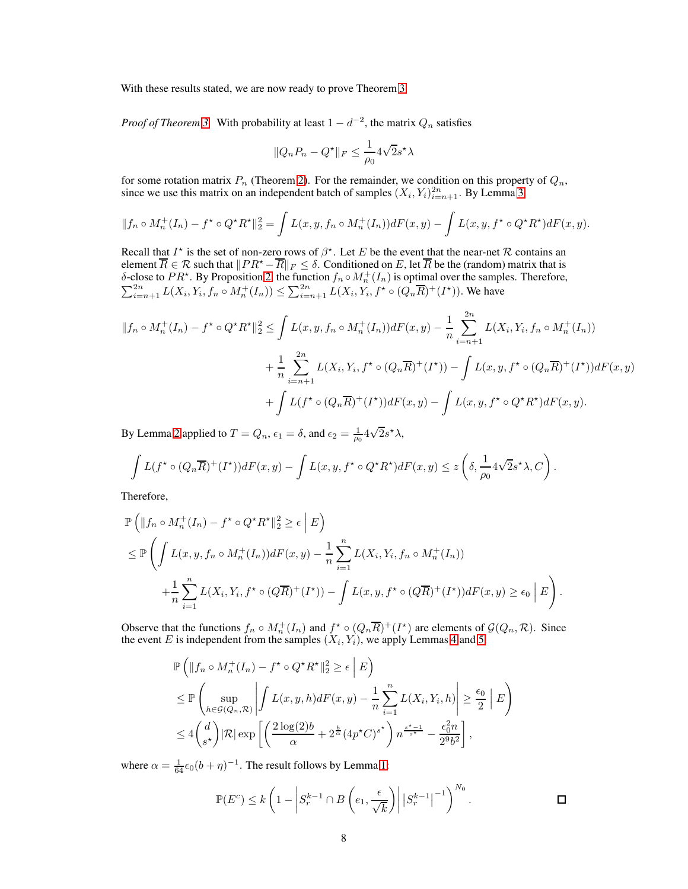With these results stated, we are now ready to prove Theorem [3.](#page-5-1)

*Proof of Theorem [3.](#page-5-1)* With probability at least  $1 - d^{-2}$ , the matrix  $Q_n$  satisfies

$$
||Q_n P_n - Q^\star||_F \le \frac{1}{\rho_0} 4\sqrt{2} s^\star \lambda
$$

for some rotation matrix  $P_n$  (Theorem [2\)](#page-3-3). For the remainder, we condition on this property of  $Q_n$ , since we use this matrix on an independent batch of samples  $(X_i, Y_i)_{i=n+1}^{2n}$ . By Lemma [3,](#page-6-1)

$$
||f_n \circ M_n^+(I_n) - f^* \circ Q^* R^*||_2^2 = \int L(x, y, f_n \circ M_n^+(I_n)) dF(x, y) - \int L(x, y, f^* \circ Q^* R^*) dF(x, y).
$$

Recall that  $I^*$  is the set of non-zero rows of  $\beta^*$ . Let E be the event that the near-net  $\mathcal R$  contains an element  $\overline{R} \in \mathcal{R}$  such that  $||PR^* - \overline{R}||_F \le \delta$ . Conditioned on E, let  $\overline{R}$  be the (random) matrix that is  $\delta$ -close to  $PR^*$ . By Proposition [2,](#page-5-3) the function  $f_n \circ M_n^+(I_n)$  is optimal over the samples. Therefo  $\sum_{i=n+1}^{2n} L(X_i, Y_i, f_n \circ M_n^+(I_n)) \leq \sum_{i=n+1}^{2n} L(X_i, Y_i, f^* \circ (Q_n \overline{R})^+(I^*))$ . We have

$$
||f_n \circ M_n^+(I_n) - f^* \circ Q^* R^*||_2^2 \le \int L(x, y, f_n \circ M_n^+(I_n)) dF(x, y) - \frac{1}{n} \sum_{i=n+1}^{2n} L(X_i, Y_i, f_n \circ M_n^+(I_n))
$$
  
+ 
$$
\frac{1}{n} \sum_{i=n+1}^{2n} L(X_i, Y_i, f^* \circ (Q_n \overline{R})^+(I^*)) - \int L(x, y, f^* \circ (Q_n \overline{R})^+(I^*)) dF(x, y)
$$
  
+ 
$$
\int L(f^* \circ (Q_n \overline{R})^+(I^*)) dF(x, y) - \int L(x, y, f^* \circ Q^* R^*) dF(x, y).
$$

By Lemma [2](#page-6-0) applied to  $T = Q_n$ ,  $\epsilon_1 = \delta$ , and  $\epsilon_2 = \frac{1}{\rho_0} 4\sqrt{2}s^{\star}\lambda$ ,

$$
\int L(f^{\star} \circ (Q_n \overline{R})^+(I^{\star})) dF(x, y) - \int L(x, y, f^{\star} \circ Q^{\star} R^{\star}) dF(x, y) \leq z \left( \delta, \frac{1}{\rho_0} 4\sqrt{2} s^{\star} \lambda, C \right).
$$

Therefore,

$$
\mathbb{P}\left(\|f_n \circ M_n^+(I_n) - f^\star \circ Q^\star R^\star\|_2^2 \ge \epsilon \mid E\right)
$$
\n
$$
\le \mathbb{P}\left(\int L(x, y, f_n \circ M_n^+(I_n)) dF(x, y) - \frac{1}{n} \sum_{i=1}^n L(X_i, Y_i, f_n \circ M_n^+(I_n))\right)
$$
\n
$$
+ \frac{1}{n} \sum_{i=1}^n L(X_i, Y_i, f^\star \circ (Q\overline{R})^+(I^\star)) - \int L(x, y, f^\star \circ (Q\overline{R})^+(I^\star)) dF(x, y) \ge \epsilon_0 \mid E\right).
$$

Observe that the functions  $f_n \circ M_n^+(I_n)$  and  $f^* \circ (Q_n \overline{R})^+(I^*)$  are elements of  $\mathcal{G}(Q_n, \mathcal{R})$ . Since the event E is independent from the samples  $(X_i, Y_i)$ , we apply Lemmas [4](#page-6-2) and [5.](#page-6-3)

$$
\mathbb{P}\left(\|f_n \circ M_n^+(I_n) - f^\star \circ Q^\star R^\star\|_2^2 \ge \epsilon \mid E\right)
$$
\n
$$
\le \mathbb{P}\left(\sup_{h \in \mathcal{G}(Q_n, \mathcal{R})} \left| \int L(x, y, h) dF(x, y) - \frac{1}{n} \sum_{i=1}^n L(X_i, Y_i, h) \right| \ge \frac{\epsilon_0}{2} \mid E\right)
$$
\n
$$
\le 4\binom{d}{s^\star} |\mathcal{R}| \exp\left[\left(\frac{2\log(2)b}{\alpha} + 2^{\frac{b}{\alpha}} (4p^\star C)^{s^\star}\right) n^{\frac{s^\star - 1}{s^\star}} - \frac{\epsilon_0^2 n}{2^9 b^2}\right],
$$

where  $\alpha = \frac{1}{64} \epsilon_0 (b + \eta)^{-1}$ . The result follows by Lemma [1:](#page-4-3)

$$
\mathbb{P}(E^c) \le k \left( 1 - \left| S_r^{k-1} \cap B\left( e_1, \frac{\epsilon}{\sqrt{k}} \right) \right| \left| S_r^{k-1} \right|^{-1} \right)^{N_0} . \Box
$$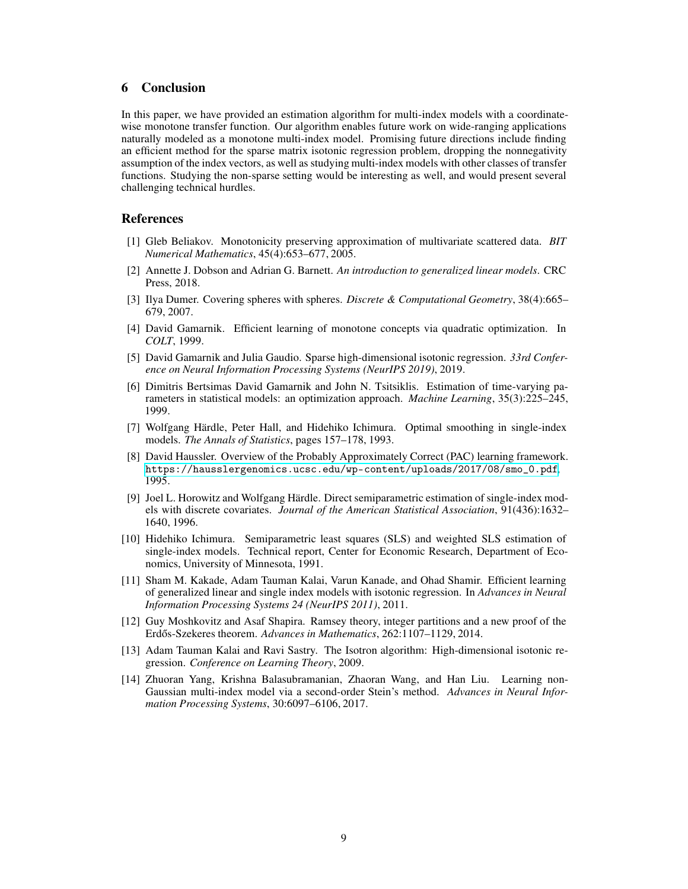# <span id="page-8-8"></span>6 Conclusion

In this paper, we have provided an estimation algorithm for multi-index models with a coordinatewise monotone transfer function. Our algorithm enables future work on wide-ranging applications naturally modeled as a monotone multi-index model. Promising future directions include finding an efficient method for the sparse matrix isotonic regression problem, dropping the nonnegativity assumption of the index vectors, as well as studying multi-index models with other classes of transfer functions. Studying the non-sparse setting would be interesting as well, and would present several challenging technical hurdles.

### <span id="page-8-14"></span>References

- [1] Gleb Beliakov. Monotonicity preserving approximation of multivariate scattered data. *BIT Numerical Mathematics*, 45(4):653–677, 2005.
- <span id="page-8-9"></span><span id="page-8-0"></span>[2] Annette J. Dobson and Adrian G. Barnett. *An introduction to generalized linear models*. CRC Press, 2018.
- <span id="page-8-12"></span>[3] Ilya Dumer. Covering spheres with spheres. *Discrete & Computational Geometry*, 38(4):665– 679, 2007.
- <span id="page-8-7"></span>[4] David Gamarnik. Efficient learning of monotone concepts via quadratic optimization. In *COLT*, 1999.
- [5] David Gamarnik and Julia Gaudio. Sparse high-dimensional isotonic regression. *33rd Conference on Neural Information Processing Systems (NeurIPS 2019)*, 2019.
- <span id="page-8-10"></span>[6] Dimitris Bertsimas David Gamarnik and John N. Tsitsiklis. Estimation of time-varying parameters in statistical models: an optimization approach. *Machine Learning*, 35(3):225–245, 1999.
- <span id="page-8-1"></span>[7] Wolfgang Härdle, Peter Hall, and Hidehiko Ichimura. Optimal smoothing in single-index models. *The Annals of Statistics*, pages 157–178, 1993.
- <span id="page-8-11"></span>[8] David Haussler. Overview of the Probably Approximately Correct (PAC) learning framework. [https://hausslergenomics.ucsc.edu/wp-content/uploads/2017/08/smo\\_0.pdf](https://hausslergenomics.ucsc.edu/wp-content/uploads/2017/08/smo_0.pdf), 1995.
- <span id="page-8-2"></span>[9] Joel L. Horowitz and Wolfgang Härdle. Direct semiparametric estimation of single-index models with discrete covariates. *Journal of the American Statistical Association*, 91(436):1632– 1640, 1996.
- <span id="page-8-3"></span>[10] Hidehiko Ichimura. Semiparametric least squares (SLS) and weighted SLS estimation of single-index models. Technical report, Center for Economic Research, Department of Economics, University of Minnesota, 1991.
- <span id="page-8-5"></span>[11] Sham M. Kakade, Adam Tauman Kalai, Varun Kanade, and Ohad Shamir. Efficient learning of generalized linear and single index models with isotonic regression. In *Advances in Neural Information Processing Systems 24 (NeurIPS 2011)*, 2011.
- <span id="page-8-13"></span>[12] Guy Moshkovitz and Asaf Shapira. Ramsey theory, integer partitions and a new proof of the Erdős-Szekeres theorem. Advances in Mathematics, 262:1107–1129, 2014.
- <span id="page-8-4"></span>[13] Adam Tauman Kalai and Ravi Sastry. The Isotron algorithm: High-dimensional isotonic regression. *Conference on Learning Theory*, 2009.
- <span id="page-8-6"></span>[14] Zhuoran Yang, Krishna Balasubramanian, Zhaoran Wang, and Han Liu. Learning non-Gaussian multi-index model via a second-order Stein's method. *Advances in Neural Information Processing Systems*, 30:6097–6106, 2017.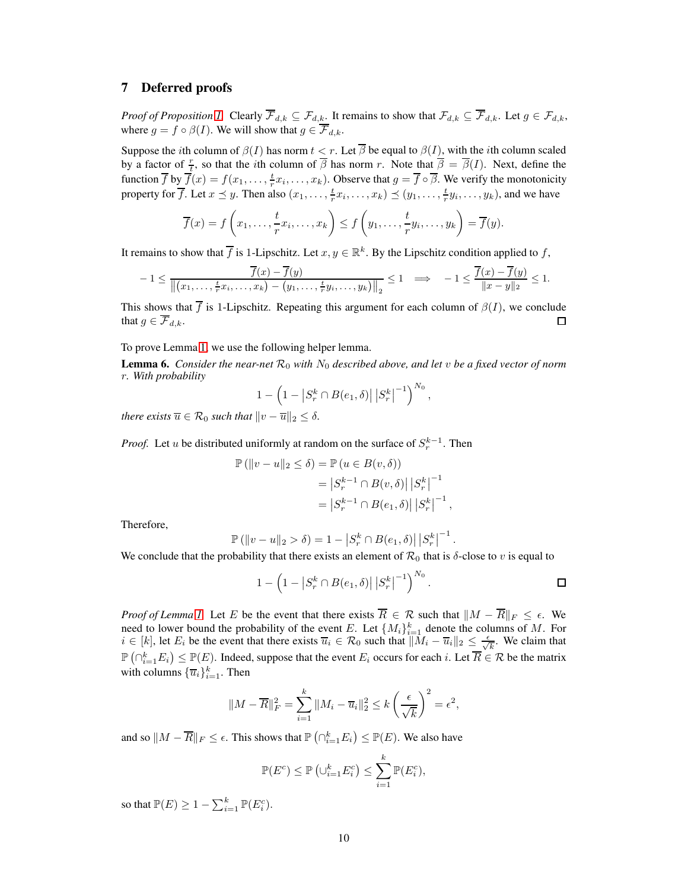## 7 Deferred proofs

*Proof of Proposition [1.](#page-2-1)* Clearly  $\overline{\mathcal{F}}_{d,k} \subseteq \mathcal{F}_{d,k}$ . It remains to show that  $\mathcal{F}_{d,k} \subseteq \overline{\mathcal{F}}_{d,k}$ . Let  $g \in \mathcal{F}_{d,k}$ , where  $g = f \circ \beta(I)$ . We will show that  $g \in \overline{\mathcal{F}}_{d,k}$ .

Suppose the *i*th column of  $\beta(I)$  has norm  $t < r$ . Let  $\overline{\beta}$  be equal to  $\beta(I)$ , with the *i*th column scaled by a factor of  $\frac{r}{t}$ , so that the *i*th column of  $\overline{\beta}$  has norm r. Note that  $\overline{\beta} = \overline{\beta}(I)$ . Next, define the function  $\overline{f}$  by  $\overline{f}(x) = f(x_1, \ldots, \frac{t}{r}x_i, \ldots, x_k)$ . Observe that  $g = \overline{f} \circ \overline{\beta}$ . We verify the monotonicity property for  $\overline{f}$ . Let  $x \leq y$ . Then also  $(x_1, \ldots, \frac{t}{r}x_i, \ldots, x_k) \leq (y_1, \ldots, \frac{t}{r}y_i, \ldots, y_k)$ , and we have

$$
\overline{f}(x) = f\left(x_1, \ldots, \frac{t}{r}x_i, \ldots, x_k\right) \le f\left(y_1, \ldots, \frac{t}{r}y_i, \ldots, y_k\right) = \overline{f}(y).
$$

It remains to show that  $\overline{f}$  is 1-Lipschitz. Let  $x, y \in \mathbb{R}^k$ . By the Lipschitz condition applied to f,

$$
-1 \leq \frac{\overline{f}(x) - \overline{f}(y)}{\left\| (x_1, \ldots, \frac{t}{r}x_i, \ldots, x_k) - (y_1, \ldots, \frac{t}{r}y_i, \ldots, y_k) \right\|_2} \leq 1 \quad \Longrightarrow \quad -1 \leq \frac{\overline{f}(x) - \overline{f}(y)}{\|x - y\|_2} \leq 1.
$$

This shows that  $\overline{f}$  is 1-Lipschitz. Repeating this argument for each column of  $\beta(I)$ , we conclude that  $g \in \overline{\mathcal{F}}_{d,k}$ .  $\Box$ 

To prove Lemma [1,](#page-4-3) we use the following helper lemma.

<span id="page-9-0"></span>**Lemma 6.** *Consider the near-net*  $\mathcal{R}_0$  *with*  $N_0$  *described above, and let v be a fixed vector of norm* r*. With probability*

$$
1 - \left(1 - \left|S_r^k \cap B(e_1, \delta)\right| \left|S_r^k\right|^{-1}\right)^{N_0},
$$

*there exists*  $\overline{u} \in \mathcal{R}_0$  *such that*  $||v - \overline{u}||_2 \leq \delta$ .

*Proof.* Let u be distributed uniformly at random on the surface of  $S_r^{k-1}$ . Then

$$
\mathbb{P}(\|v-u\|_2 \le \delta) = \mathbb{P}(u \in B(v,\delta))
$$
  
=  $|S_r^{k-1} \cap B(v,\delta)| |S_r^k|^{-1}$   
=  $|S_r^{k-1} \cap B(e_1,\delta)| |S_r^k|^{-1}$ ,

Therefore,

$$
\mathbb{P}(|v - u| \leq s) = 1 - |S_r^k \cap B(e_1, \delta)| |S_r^k|^{-1}
$$

We conclude that the probability that there exists an element of  $\mathcal{R}_0$  that is  $\delta$ -close to v is equal to

$$
1 - \left(1 - \left|S_r^k \cap B(e_1, \delta)\right| \left|S_r^k\right|^{-1}\right)^{N_0}.
$$

.

*Proof of Lemma [1.](#page-4-3)* Let E be the event that there exists  $\overline{R} \in \mathcal{R}$  such that  $||M - \overline{R}||_F \leq \epsilon$ . We need to lower bound the probability of the event E. Let  $\{M_i\}_{i=1}^k$  denote the columns of M. For  $i \in [k]$ , let  $E_i$  be the event that there exists  $\overline{u}_i \in \mathcal{R}_0$  such that  $\|\overline{M}_i - \overline{u}_i\|_2 \leq \frac{\epsilon}{\sqrt{k}}$ . We claim that  $\mathbb{P}(\bigcap_{i=1}^k E_i) \leq \mathbb{P}(E)$ . Indeed, suppose that the event  $E_i$  occurs for each i. Let  $\overline{R} \in \mathcal{R}$  be the matrix with columns  ${\{\overline{u}_i\}}_{i=1}^k$ . Then

$$
||M - \overline{R}||_F^2 = \sum_{i=1}^k ||M_i - \overline{u}_i||_2^2 \le k \left(\frac{\epsilon}{\sqrt{k}}\right)^2 = \epsilon^2,
$$

and so  $||M - \overline{R}||_F \leq \epsilon$ . This shows that  $\mathbb{P}(\bigcap_{i=1}^k E_i) \leq \mathbb{P}(E)$ . We also have

$$
\mathbb{P}(E^c) \le \mathbb{P}\left(\cup_{i=1}^k E_i^c\right) \le \sum_{i=1}^k \mathbb{P}(E_i^c),
$$

so that  $\mathbb{P}(E) \geq 1 - \sum_{i=1}^{k} \mathbb{P}(E_i^c)$ .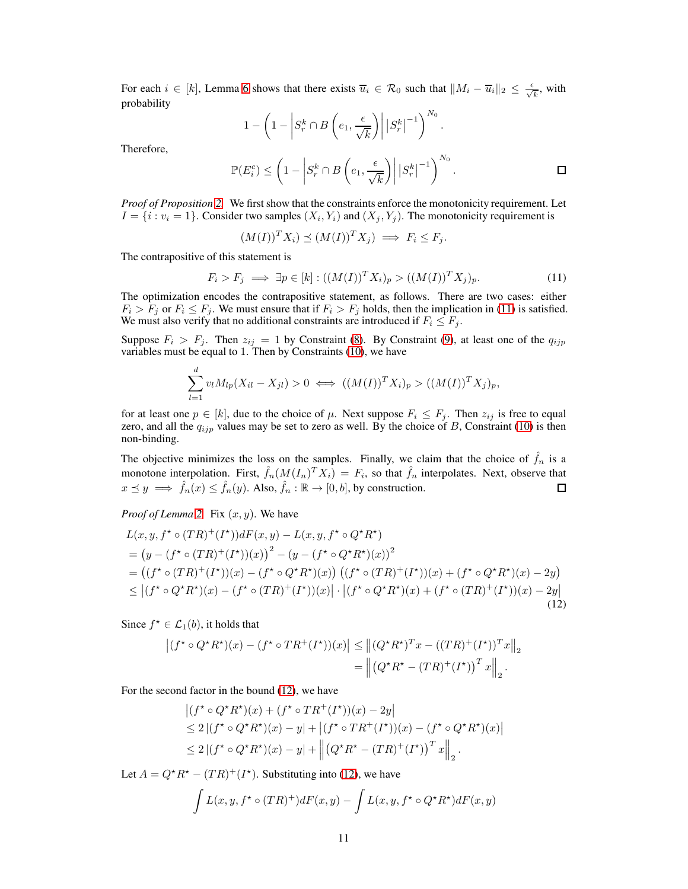For each  $i \in [k]$ , Lemma [6](#page-9-0) shows that there exists  $\overline{u}_i \in \mathcal{R}_0$  such that  $||M_i - \overline{u}_i||_2 \leq \frac{\epsilon}{\sqrt{k}}$ , with probability

$$
1 - \left(1 - \left|S_r^k \cap B\left(e_1, \frac{\epsilon}{\sqrt{k}}\right)\right| \left|S_r^k\right|^{-1}\right)^{N_0}.
$$

Therefore,

$$
\mathbb{P}(E_i^c) \le \left(1 - \left| S_r^k \cap B\left(e_1, \frac{\epsilon}{\sqrt{k}}\right) \right| \left| S_r^k \right|^{-1} \right)^{N_0}.
$$

*Proof of Proposition [2.](#page-5-3)* We first show that the constraints enforce the monotonicity requirement. Let  $I = \{i : v_i = 1\}$ . Consider two samples  $(X_i, Y_i)$  and  $(X_j, Y_j)$ . The monotonicity requirement is

<span id="page-10-0"></span>
$$
(M(I))^T X_i) \preceq (M(I))^T X_j) \implies F_i \leq F_j.
$$

The contrapositive of this statement is

$$
F_i > F_j \implies \exists p \in [k] : ((M(I))^T X_i)_p > ((M(I))^T X_j)_p. \tag{11}
$$

The optimization encodes the contrapositive statement, as follows. There are two cases: either  $F_i > F_j$  or  $F_i \leq F_j$ . We must ensure that if  $F_i > F_j$  holds, then the implication in [\(11\)](#page-10-0) is satisfied. We must also verify that no additional constraints are introduced if  $F_i \leq F_j$ .

Suppose  $F_i > F_j$ . Then  $z_{ij} = 1$  by Constraint [\(8\)](#page-4-4). By Constraint [\(9\)](#page-4-5), at least one of the  $q_{ijp}$ variables must be equal to 1. Then by Constraints [\(10\)](#page-5-4), we have

$$
\sum_{l=1}^{d} v_l M_{lp}(X_{il} - X_{jl}) > 0 \iff ((M(I))^T X_i)_p > ((M(I))^T X_j)_p,
$$

for at least one  $p \in [k]$ , due to the choice of  $\mu$ . Next suppose  $F_i \leq F_j$ . Then  $z_{ij}$  is free to equal zero, and all the  $q_{ijp}$  values may be set to zero as well. By the choice of B, Constraint [\(10\)](#page-5-4) is then non-binding.

The objective minimizes the loss on the samples. Finally, we claim that the choice of  $\hat{f}_n$  is a monotone interpolation. First,  $\hat{f}_n(M(I_n)^TX_i) = F_i$ , so that  $\hat{f}_n$  interpolates. Next, observe that  $x \preceq y \implies \hat{f}_n(x) \leq \hat{f}_n(y)$ . Also,  $\hat{f}_n : \mathbb{R} \to [0, b]$ , by construction.

*Proof of Lemma* [2.](#page-6-0) Fix  $(x, y)$ . We have

$$
L(x, y, f^* \circ (TR)^+(I^*))dF(x, y) - L(x, y, f^* \circ Q^*R^*)
$$
  
=  $(y - (f^* \circ (TR)^+(I^*))(x))^2 - (y - (f^* \circ Q^*R^*)(x))^2$   
=  $((f^* \circ (TR)^+(I^*))(x) - (f^* \circ Q^*R^*)(x)) ((f^* \circ (TR)^+(I^*))(x) + (f^* \circ Q^*R^*)(x) - 2y)$   
 $\leq |(f^* \circ Q^*R^*)(x) - (f^* \circ (TR)^+(I^*))(x)| \cdot |(f^* \circ Q^*R^*)(x) + (f^* \circ (TR)^+(I^*))(x) - 2y|$   
(12)

Since  $f^* \in \mathcal{L}_1(b)$ , it holds that

$$
\left| (f^* \circ Q^* R^*)(x) - (f^* \circ TR^+(I^*)) (x) \right| \le \left\| (Q^* R^*)^T x - ((TR)^+(I^*))^T x \right\|_2
$$
  
= 
$$
\left\| (Q^* R^* - (TR)^+(I^*))^T x \right\|_2.
$$

For the second factor in the bound [\(12\)](#page-10-1), we have

<span id="page-10-1"></span>
$$
\left| (f^* \circ Q^* R^*)(x) + (f^* \circ TR^+(I^*))(x) - 2y \right|
$$
  
\n
$$
\leq 2 | (f^* \circ Q^* R^*)(x) - y| + | (f^* \circ TR^+(I^*)) (x) - (f^* \circ Q^* R^*)(x) |
$$
  
\n
$$
\leq 2 | (f^* \circ Q^* R^*)(x) - y| + \left| \left( Q^* R^* - (TR)^+(I^*) \right)^T x \right|_2.
$$

Let  $A = Q^* R^* - (TR)^+ (I^*)$ . Substituting into [\(12\)](#page-10-1), we have

$$
\int L(x, y, f^* \circ (TR)^+) dF(x, y) - \int L(x, y, f^* \circ Q^* R^*) dF(x, y)
$$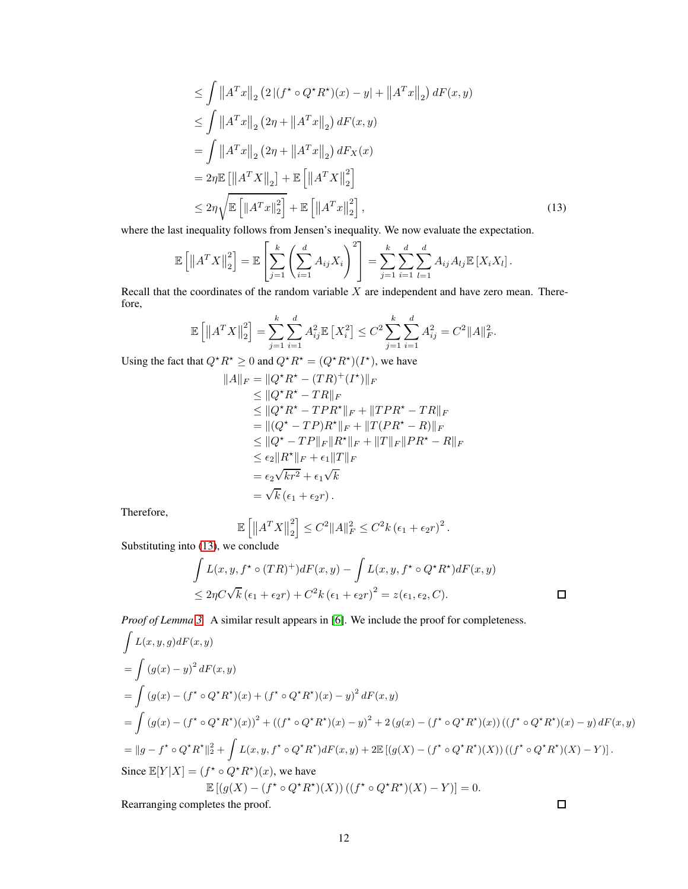$$
\leq \int \|A^T x\|_2 (2|(f^* \circ Q^* R^*)(x) - y| + \|A^T x\|_2) dF(x, y)
$$
  
\n
$$
\leq \int \|A^T x\|_2 (2\eta + \|A^T x\|_2) dF(x, y)
$$
  
\n
$$
= \int \|A^T x\|_2 (2\eta + \|A^T x\|_2) dF_X(x)
$$
  
\n
$$
= 2\eta \mathbb{E} [\|A^T X\|_2] + \mathbb{E} [\|A^T X\|_2^2]
$$
  
\n
$$
\leq 2\eta \sqrt{\mathbb{E} [\|A^T x\|_2^2]} + \mathbb{E} [\|A^T x\|_2^2],
$$
\n(13)

where the last inequality follows from Jensen's inequality. We now evaluate the expectation.

$$
\mathbb{E}\left[\left\|A^T X\right\|_2^2\right] = \mathbb{E}\left[\sum_{j=1}^k \left(\sum_{i=1}^d A_{ij} X_i\right)^2\right] = \sum_{j=1}^k \sum_{i=1}^d \sum_{l=1}^d A_{ij} A_{lj} \mathbb{E}\left[X_i X_l\right].
$$

Recall that the coordinates of the random variable  $X$  are independent and have zero mean. Therefore,

$$
\mathbb{E}\left[\left\|A^T X\right\|_2^2\right] = \sum_{j=1}^k \sum_{i=1}^d A_{ij}^2 \mathbb{E}\left[X_i^2\right] \le C^2 \sum_{j=1}^k \sum_{i=1}^d A_{ij}^2 = C^2 \|A\|_F^2.
$$

Using the fact that  $Q^* R^* \ge 0$  and  $Q^* R^* = (Q^* R^*)(I^*)$ , we have

<span id="page-11-0"></span>
$$
||A||_F = ||Q^*R^* - (TR)^+(I^*)||_F
$$
  
\n
$$
\leq ||Q^*R^* - TR||_F
$$
  
\n
$$
\leq ||Q^*R^* - TPR^*||_F + ||TPR^* - TR||_F
$$
  
\n
$$
= ||(Q^* - TP)R^*||_F + ||T(PR^* - R)||_F
$$
  
\n
$$
\leq ||Q^* - TP||_F ||R^*||_F + ||T||_F ||PR^* - R||_F
$$
  
\n
$$
\leq \epsilon_2 ||R^*||_F + \epsilon_1 ||T||_F
$$
  
\n
$$
= \epsilon_2 \sqrt{kr^2} + \epsilon_1 \sqrt{k}
$$
  
\n
$$
= \sqrt{k} (\epsilon_1 + \epsilon_2 r).
$$

Therefore,

$$
\mathbb{E}\left[\left\|A^T X\right\|_2^2\right] \leq C^2 \|A\|_F^2 \leq C^2 k \left(\epsilon_1 + \epsilon_2 r\right)^2.
$$

Substituting into [\(13\)](#page-11-0), we conclude

$$
\int L(x, y, f^* \circ (TR)^+) dF(x, y) - \int L(x, y, f^* \circ Q^* R^*) dF(x, y)
$$
  
\n
$$
\leq 2\eta C \sqrt{k} (\epsilon_1 + \epsilon_2 r) + C^2 k (\epsilon_1 + \epsilon_2 r)^2 = z(\epsilon_1, \epsilon_2, C).
$$

*Proof of Lemma [3.](#page-6-1)* A similar result appears in [\[6\]](#page-8-10). We include the proof for completeness.

$$
\int L(x, y, g) dF(x, y)
$$
\n
$$
= \int (g(x) - y)^2 dF(x, y)
$$
\n
$$
= \int (g(x) - (f^* \circ Q^* R^*)(x) + (f^* \circ Q^* R^*)(x) - y)^2 dF(x, y)
$$
\n
$$
= \int (g(x) - (f^* \circ Q^* R^*)(x))^2 + ((f^* \circ Q^* R^*)(x) - y)^2 + 2(g(x) - (f^* \circ Q^* R^*)(x))((f^* \circ Q^* R^*)(x) - y) dF(x, y)
$$
\n
$$
= ||g - f^* \circ Q^* R^*||_2^2 + \int L(x, y, f^* \circ Q^* R^*) dF(x, y) + 2\mathbb{E}[(g(X) - (f^* \circ Q^* R^*)(X))((f^* \circ Q^* R^*)(X) - Y)].
$$
\nSince  $\mathbb{E}[Y|X] = (f^* \circ Q^* R^*)(x)$ , we have\n
$$
\mathbb{E}[(g(X) - (f^* \circ Q^* R^*)(X))((f^* \circ Q^* R^*)(X) - Y)] = 0.
$$
\nRearranging completes the proof.

Rearranging completes the proof.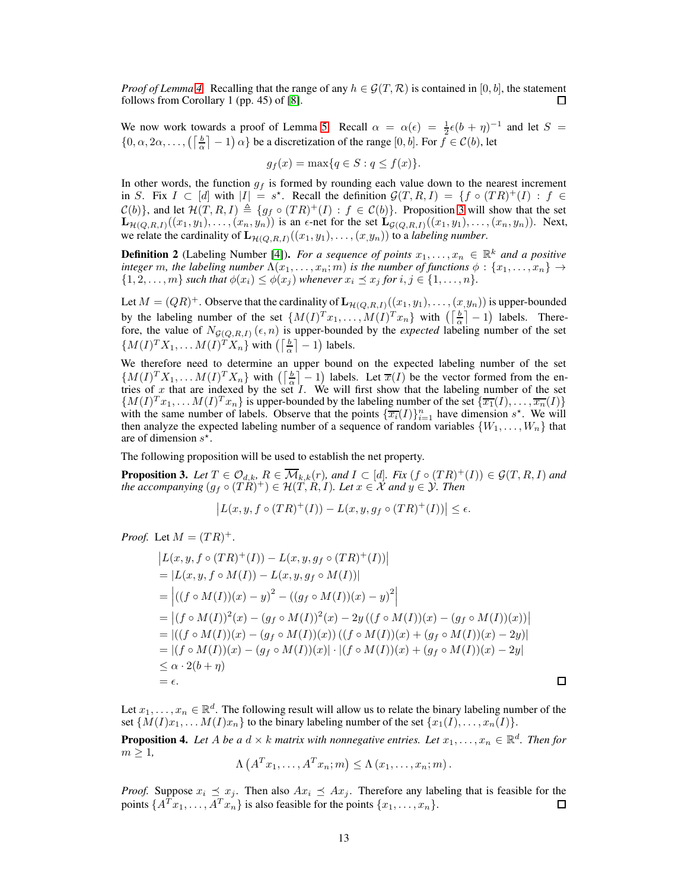*Proof of Lemma* [4.](#page-6-2) Recalling that the range of any  $h \in \mathcal{G}(T,\mathcal{R})$  is contained in  $[0,b]$ , the statement follows from Corollary 1 (pp. 45) of [8]. follows from Corollary 1 (pp. 45) of [\[8\]](#page-8-11).

We now work towards a proof of Lemma [5.](#page-6-3) Recall  $\alpha = \alpha(\epsilon) = \frac{1}{2}\epsilon(b+\eta)^{-1}$  and let  $S =$  $\{0, \alpha, 2\alpha, \dots, \left(\left\lceil \frac{b}{\alpha} \right\rceil - 1\right) \alpha\}$  be a discretization of the range  $[0, b]$ . For  $f \in \mathcal{C}(b)$ , let

$$
g_f(x) = \max\{q \in S : q \le f(x)\}.
$$

In other words, the function  $g_f$  is formed by rounding each value down to the nearest increment in S. Fix  $I \subset [d]$  with  $|I| = s^*$ . Recall the definition  $\mathcal{G}(T, R, I) = \{f \circ (TR)^+(I) : f \in$  $\mathcal{C}(b)$ }, and let  $\mathcal{H}(T, R, I) \triangleq \{g_f \circ (TR)^+(I) : f \in \mathcal{C}(b)\}\.$  Proposition [3](#page-12-0) will show that the set  $\mathbf{L}_{\mathcal{H}(Q,R,I)}((x_1,y_1),\ldots,(x_n,y_n))$  is an  $\epsilon$ -net for the set  $\mathbf{L}_{\mathcal{G}(Q,R,I)}((x_1,y_1),\ldots,(x_n,y_n))$ . Next, we relate the cardinality of  $\mathbf{L}_{\mathcal{H}(Q,R,I)}((x_1,y_1), \ldots, (x,y_n))$  to a *labeling number*.

**Definition 2** (Labeling Number [\[4\]](#page-8-12)). *For a sequence of points*  $x_1, \ldots, x_n \in \mathbb{R}^k$  *and a positive integer* m, the labeling number  $\Lambda(x_1, \ldots, x_n; m)$  *is the number of functions*  $\phi : \{x_1, \ldots, x_n\} \to$  $\{1, 2, \ldots, m\}$  *such that*  $\phi(x_i) \leq \phi(x_j)$  *whenever*  $x_i \leq x_j$  *for*  $i, j \in \{1, \ldots, n\}$ *.* 

Let  $M = (QR)^+$ . Observe that the cardinality of  $\mathbf{L}_{\mathcal{H}(Q,R,I)}((x_1,y_1), \ldots, (x,y_n))$  is upper-bounded by the labeling number of the set  $\{M(I)^T x_1, \ldots, M(I)^T x_n\}$  with  $\left(\left\lceil \frac{b}{\alpha} \right\rceil - 1\right)$  labels. Therefore, the value of  $N_{\mathcal{G}(Q,R,I)}(\epsilon, n)$  is upper-bounded by the *expected* labeling number of the set  $\{M(I)^T X_1, \ldots M(I)^T X_n\}$  with  $\left(\left\lceil \frac{b}{\alpha} \right\rceil - 1\right)$  labels.

We therefore need to determine an upper bound on the expected labeling number of the set  $\{M(I)^T X_1, \ldots M(I)^T X_n\}$  with  $\left(\left[\frac{b}{\alpha}\right] - 1\right)$  labels. Let  $\overline{x}(I)$  be the vector formed from the entries of x that are indexed by the set  $I$ . We will first show that the labeling number of the set  $\{M(I)^T x_1, \ldots M(I)^T x_n\}$  is upper-bounded by the labeling number of the set  $\{\overline{x_1}(I), \ldots, \overline{x_n}(I)\}$ with the same number of labels. Observe that the points  $\{\overline{x_i}(I)\}_{i=1}^n$  have dimension  $s^*$ . We will then analyze the expected labeling number of a sequence of random variables  $\{W_1, \ldots, W_n\}$  that are of dimension  $s^*$ .

The following proposition will be used to establish the net property.

<span id="page-12-0"></span>**Proposition 3.** Let  $T \in \mathcal{O}_{d,k}$ ,  $R \in \overline{\mathcal{M}}_{k,k}(r)$ , and  $I \subset [d]$ . Fix  $(f \circ (TR)^+(I)) \in \mathcal{G}(T, R, I)$  and  $the \ accompanying (g_f \circ (TR)^+) \in \mathcal{H}(T, R, I)$ *. Let*  $x \in \mathcal{X}$  and  $y \in \mathcal{Y}$ *. Then* 

$$
\left| L(x, y, f \circ (TR)^+(I)) - L(x, y, g_f \circ (TR)^+(I)) \right| \le \epsilon.
$$

*Proof.* Let  $M = (TR)^+$ .

$$
|L(x, y, f \circ (TR)^{+}(I)) - L(x, y, g_{f} \circ (TR)^{+}(I))|
$$
  
= |L(x, y, f \circ M(I)) - L(x, y, g\_{f} \circ M(I))|  
= |((f \circ M(I))(x) - y)^{2} - ((g\_{f} \circ M(I))(x) - y)^{2}|  
= |(f \circ M(I))^{2}(x) - (g\_{f} \circ M(I))^{2}(x) - 2y ((f \circ M(I))(x) - (g\_{f} \circ M(I))(x))|  
= |((f \circ M(I))(x) - (g\_{f} \circ M(I))(x)) ((f \circ M(I))(x) + (g\_{f} \circ M(I))(x) - 2y)|  
= |(f \circ M(I))(x) - (g\_{f} \circ M(I))(x)| \cdot |(f \circ M(I))(x) + (g\_{f} \circ M(I))(x) - 2y|  
 $\leq \alpha \cdot 2(b + \eta)$   
=  $\epsilon$ .

□

Let  $x_1, \ldots, x_n \in \mathbb{R}^d$ . The following result will allow us to relate the binary labeling number of the set  $\{M(I)x_1, \ldots M(I)x_n\}$  to the binary labeling number of the set  $\{x_1(I), \ldots, x_n(I)\}.$ 

<span id="page-12-1"></span>**Proposition 4.** Let A be a  $d \times k$  matrix with nonnegative entries. Let  $x_1, \ldots, x_n \in \mathbb{R}^d$ . Then for  $m \geq 1$ ,

$$
\Lambda\left(A^{T}x_{1},\ldots,A^{T}x_{n};m\right)\leq\Lambda\left(x_{1},\ldots,x_{n};m\right).
$$

*Proof.* Suppose  $x_i \leq x_j$ . Then also  $Ax_i \leq Ax_j$ . Therefore any labeling that is feasible for the points  $\{A^T x_1, \ldots, A^T x_n\}$  is also feasible for the points  $\{x_1, \ldots, x_n\}$ . points  $\{A^T x_1, \ldots, A^T x_n\}$  is also feasible for the points  $\{x_1, \ldots, x_n\}$ .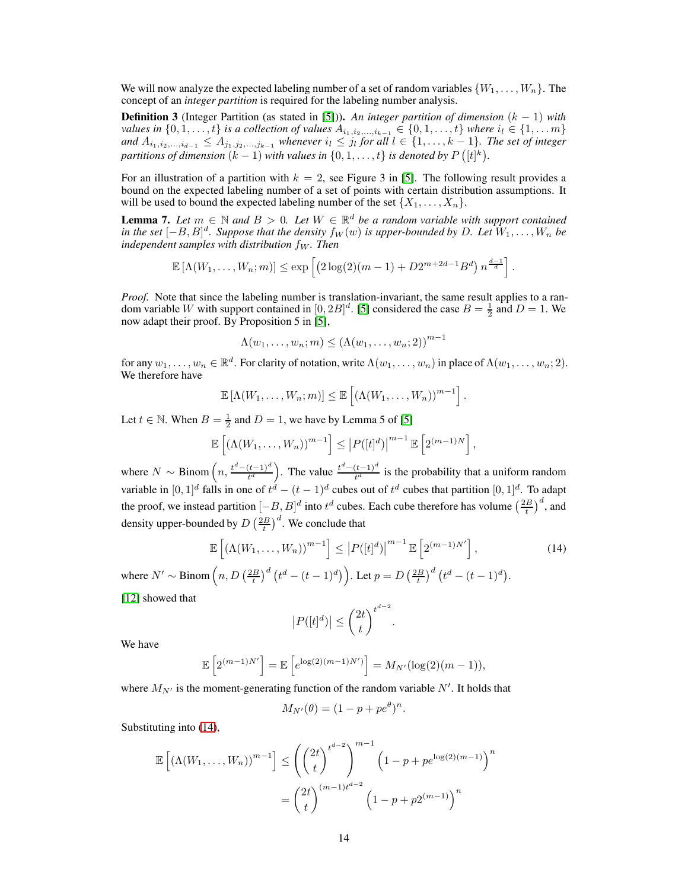We will now analyze the expected labeling number of a set of random variables  $\{W_1, \ldots, W_n\}$ . The concept of an *integer partition* is required for the labeling number analysis.

Definition 3 (Integer Partition (as stated in [\[5\]](#page-8-7))). *An integer partition of dimension* (k − 1) *with values in*  $\{0, 1, \ldots, t\}$  *is a collection of values*  $A_{i_1, i_2, \ldots, i_{k-1}} \in \{0, 1, \ldots, t\}$  *where*  $i_l \in \{1, \ldots, m\}$ *and*  $A_{i_1,i_2,...,i_{d-1}}$  ≤  $A_{j_1,j_2,...,j_{k-1}}$  *whenever*  $i_l$  ≤  $j_l$  for all  $l$  ∈ {1, ..., k − 1}. The set of integer *partitions of dimension*  $(k-1)$  *with values in*  $\{0,1,\ldots,t\}$  *is denoted by*  $P\left([t]^k\right)$ *.* 

For an illustration of a partition with  $k = 2$ , see Figure 3 in [\[5\]](#page-8-7). The following result provides a bound on the expected labeling number of a set of points with certain distribution assumptions. It will be used to bound the expected labeling number of the set  $\{X_1, \ldots, X_n\}$ .

<span id="page-13-1"></span>**Lemma 7.** Let  $m \in \mathbb{N}$  and  $B > 0$ . Let  $W \in \mathbb{R}^d$  be a random variable with support contained *in the set*  $[-B, B]^d$ . Suppose that the density  $f_W(w)$  is upper-bounded by D. Let  $W_1, \ldots, W_n$  be *independent samples with distribution*  $f_W$ *. Then* 

$$
\mathbb{E}\left[\Lambda(W_1,\ldots,W_n;m)\right] \leq \exp\left[\left(2\log(2)(m-1)+D2^{m+2d-1}B^d\right)n^{\frac{d-1}{d}}\right].
$$

*Proof.* Note that since the labeling number is translation-invariant, the same result applies to a random variable W with support contained in  $[0, 2B]^d$ . [\[5\]](#page-8-7) considered the case  $B = \frac{1}{2}$  and  $D = 1$ . We now adapt their proof. By Proposition 5 in  $\overline{5}$ ],

$$
\Lambda(w_1,\ldots,w_n;m) \leq (\Lambda(w_1,\ldots,w_n;2))^{m-1}
$$

for any  $w_1, \ldots, w_n \in \mathbb{R}^d$ . For clarity of notation, write  $\Lambda(w_1, \ldots, w_n)$  in place of  $\Lambda(w_1, \ldots, w_n; 2)$ . We therefore have

$$
\mathbb{E}[\Lambda(W_1,\ldots,W_n;m)] \leq \mathbb{E}\left[\left(\Lambda(W_1,\ldots,W_n)\right)^{m-1}\right].
$$

Let  $t \in \mathbb{N}$ . When  $B = \frac{1}{2}$  and  $D = 1$ , we have by Lemma 5 of [\[5\]](#page-8-7)

$$
\mathbb{E}\left[\left(\Lambda(W_1,\ldots,W_n)\right)^{m-1}\right] \leq \left|P([t]^d)\right|^{m-1} \mathbb{E}\left[2^{(m-1)N}\right],
$$

where  $N \sim \text{Binom}\left(n, \frac{t^d - (t-1)^d}{t^d}\right)$ . The value  $\frac{t^d - (t-1)^d}{t^d}$  is the probability that a uniform random variable in  $[0,1]^d$  falls in one of  $t^d - (t-1)^d$  cubes out of  $t^d$  cubes that partition  $[0,1]^d$ . To adapt the proof, we instead partition  $[-B, B]^d$  into  $t^d$  cubes. Each cube therefore has volume  $\left(\frac{2B}{t}\right)^d$ , and density upper-bounded by  $D\left(\frac{2B}{t}\right)^d$ . We conclude that

$$
\mathbb{E}\left[\left(\Lambda(W_1,\ldots,W_n)\right)^{m-1}\right] \le |P([t]^d)|^{m-1} \mathbb{E}\left[2^{(m-1)N'}\right],\tag{14}
$$
\n
$$
\mathbb{E}\left[\left(\Lambda(W_1,\ldots,W_n)\right)^{m-1}\right] \le |P([t]^d)|^{m-1} \mathbb{E}\left[2^{(m-1)N'}\right],\tag{15}
$$

where  $N' \sim \text{Binom}\left(n, D\left(\frac{2B}{t}\right)^d \left(t^d - (t-1)^d\right)\right)$ . Let  $p = D\left(\frac{2B}{t}\right)^d \left(t^d - (t-1)^d\right)$ .

[\[12\]](#page-8-13) showed that

<span id="page-13-0"></span>
$$
|P([t]^d)| \leq \binom{2t}{t}^{t^{d-2}}.
$$

We have

$$
\mathbb{E}\left[2^{(m-1)N'}\right] = \mathbb{E}\left[e^{\log(2)(m-1)N'}\right] = M_{N'}(\log(2)(m-1)),
$$

where  $M_{N'}$  is the moment-generating function of the random variable  $N'$ . It holds that

$$
M_{N'}(\theta) = (1 - p + pe^{\theta})^n.
$$

Substituting into [\(14\)](#page-13-0),

$$
\mathbb{E}\left[\left(\Lambda(W_1,\ldots,W_n)\right)^{m-1}\right] \le \left(\binom{2t}{t}^{t^{d-2}}\right)^{m-1} \left(1 - p + pe^{\log(2)(m-1)}\right)^n
$$

$$
= \binom{2t}{t}^{(m-1)t^{d-2}} \left(1 - p + p2^{(m-1)}\right)^n
$$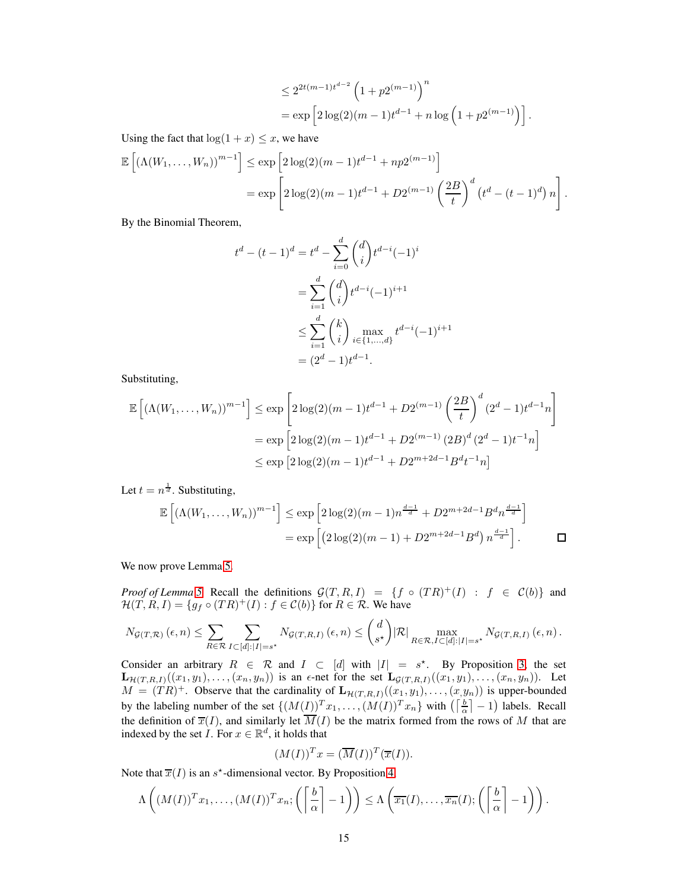$$
\leq 2^{2t(m-1)t^{d-2}} \left(1 + p2^{(m-1)}\right)^n
$$
  
=  $\exp\left[2\log(2)(m-1)t^{d-1} + n\log\left(1 + p2^{(m-1)}\right)\right].$ 

Using the fact that  $log(1 + x) \leq x$ , we have

$$
\mathbb{E}\left[\left(\Lambda(W_1,\ldots,W_n)\right)^{m-1}\right] \le \exp\left[2\log(2)(m-1)t^{d-1} + np2^{(m-1)}\right]
$$
  
=  $\exp\left[2\log(2)(m-1)t^{d-1} + D2^{(m-1)}\left(\frac{2B}{t}\right)^d \left(t^d - (t-1)^d\right)n\right].$ 

By the Binomial Theorem,

$$
t^{d} - (t - 1)^{d} = t^{d} - \sum_{i=0}^{d} {d \choose i} t^{d-i} (-1)^{i}
$$
  
= 
$$
\sum_{i=1}^{d} {d \choose i} t^{d-i} (-1)^{i+1}
$$
  

$$
\leq \sum_{i=1}^{d} {k \choose i} \max_{i \in \{1, \dots, d\}} t^{d-i} (-1)^{i+1}
$$
  
= 
$$
(2^{d} - 1) t^{d-1}.
$$

Substituting,

$$
\mathbb{E}\left[\left(\Lambda(W_1,\ldots,W_n)\right)^{m-1}\right] \le \exp\left[2\log(2)(m-1)t^{d-1} + D2^{(m-1)}\left(\frac{2B}{t}\right)^d (2^d-1)t^{d-1}n\right]
$$

$$
= \exp\left[2\log(2)(m-1)t^{d-1} + D2^{(m-1)} (2B)^d (2^d-1)t^{-1}n\right]
$$

$$
\le \exp\left[2\log(2)(m-1)t^{d-1} + D2^{m+2d-1}B^dt^{-1}n\right]
$$

Let  $t = n^{\frac{1}{d}}$ . Substituting,

$$
\mathbb{E}\left[\left(\Lambda(W_1,\ldots,W_n)\right)^{m-1}\right] \le \exp\left[2\log(2)(m-1)n^{\frac{d-1}{d}} + D2^{m+2d-1}B^dn^{\frac{d-1}{d}}\right]
$$

$$
= \exp\left[\left(2\log(2)(m-1) + D2^{m+2d-1}B^d\right)n^{\frac{d-1}{d}}\right].
$$

We now prove Lemma [5.](#page-6-3)

*Proof of Lemma* [5.](#page-6-3) Recall the definitions  $\mathcal{G}(T, R, I) = \{f \circ (TR)^+(I) : f \in \mathcal{C}(b)\}\$ and  $\mathcal{H}(T, R, I) = \{g_f \circ (TR)^{+}(I) : f \in \mathcal{C}(b)\}\$ for  $R \in \mathcal{R}$ . We have

$$
N_{\mathcal{G}(T,\mathcal{R})}\left(\epsilon,n\right) \leq \sum_{R \in \mathcal{R}} \sum_{I \subset [d]:|I|=s^{\star}} N_{\mathcal{G}(T,R,I)}\left(\epsilon,n\right) \leq {d \choose s^{\star}} |\mathcal{R}| \max_{R \in \mathcal{R}, I \subset [d]:|I|=s^{\star}} N_{\mathcal{G}(T,R,I)}\left(\epsilon,n\right).
$$

Consider an arbitrary  $R \in \mathcal{R}$  and  $I \subset [d]$  with  $|I| = s^*$ . By Proposition [3,](#page-12-0) the set  $\mathbf{L}_{\mathcal{H}(T,R,I)}((x_1,y_1),\ldots,(x_n,y_n))$  is an  $\epsilon$ -net for the set  $\mathbf{L}_{\mathcal{G}(T,R,I)}((x_1,y_1),\ldots,(x_n,y_n))$ . Let  $M = (TR)^+$ . Observe that the cardinality of  $\mathbf{L}_{\mathcal{H}(T,R,I)}((x_1, y_1), \ldots, (x_n, y_n))$  is upper-bounded by the labeling number of the set  $\{(M(\underline{I}))^T x_1, \ldots, (M(I))^T x_n\}$  with  $\left(\left\lceil \frac{b}{\alpha} \right\rceil - 1\right)$  labels. Recall the definition of  $\overline{x}(I)$ , and similarly let  $\overline{M}(I)$  be the matrix formed from the rows of M that are indexed by the set  $I$ . For  $x \in \mathbb{R}^d$ , it holds that

$$
(M(I))^T x = (\overline{M}(I))^T (\overline{x}(I)).
$$

Note that  $\overline{x}(I)$  is an  $s^*$ -dimensional vector. By Proposition [4,](#page-12-1)

$$
\Lambda\left((M(I))^Tx_1,\ldots,(M(I))^Tx_n;\left(\left\lceil\frac{b}{\alpha}\right\rceil-1\right)\right)\leq \Lambda\left(\overline{x_1}(I),\ldots,\overline{x_n}(I); \left(\left\lceil\frac{b}{\alpha}\right\rceil-1\right)\right).
$$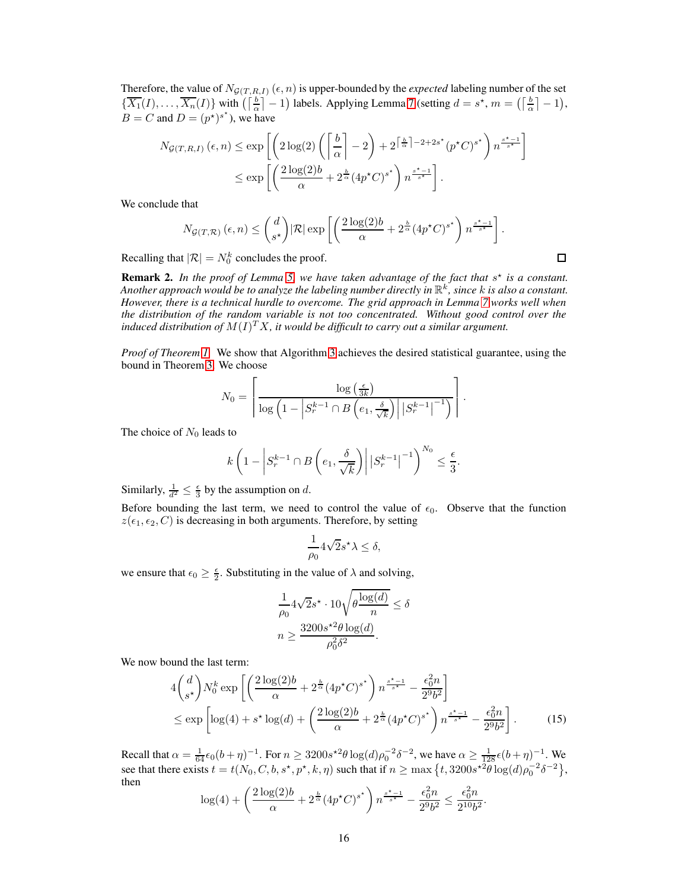Therefore, the value of  $N_{\mathcal{G}(T,R,I)}(\epsilon, n)$  is upper-bounded by the *expected* labeling number of the set  $\{\overline{X_1}(I),\ldots,\overline{X_n}(I)\}\$  with  $\left(\left\lceil \frac{b}{\alpha} \right\rceil - 1\right)$  labels. Applying Lemma [7](#page-13-1) (setting  $d = s^*$ ,  $m = \left(\left\lceil \frac{b}{\alpha} \right\rceil - 1\right)$ ,  $B = C$  and  $D = (p^*)^{s^*}$ , we have

$$
N_{\mathcal{G}(T,R,I)}(\epsilon, n) \le \exp\left[\left(2\log(2)\left(\left\lceil\frac{b}{\alpha}\right\rceil - 2\right) + 2^{\left\lceil\frac{b}{\alpha}\right\rceil - 2 + 2s^{\star}}(p^{\star}C)^{s^{\star}}\right) n^{\frac{s^{\star}-1}{s^{\star}}}\right] \le \exp\left[\left(\frac{2\log(2)b}{\alpha} + 2^{\frac{b}{\alpha}}(4p^{\star}C)^{s^{\star}}\right) n^{\frac{s^{\star}-1}{s^{\star}}}\right].
$$

We conclude that

$$
N_{\mathcal{G}(T,\mathcal{R})}\left(\epsilon,n\right) \leq \binom{d}{s^\star} |\mathcal{R}| \exp\left[\left(\frac{2\log(2)b}{\alpha} + 2^{\frac{b}{\alpha}}(4p^\star C)^{s^\star}\right)n^{\frac{s^\star-1}{s^\star}}\right].
$$

Recalling that  $|\mathcal{R}| = N_0^k$  concludes the proof.

Remark 2. In the proof of Lemma [5,](#page-6-3) we have taken advantage of the fact that  $s^*$  is a constant. *Another approach would be to analyze the labeling number directly in* R k *, since* k *is also a constant. However, there is a technical hurdle to overcome. The grid approach in Lemma [7](#page-13-1) works well when the distribution of the random variable is not too concentrated. Without good control over the* induced distribution of  $M(I)^TX$ , it would be difficult to carry out a similar argument.

*Proof of Theorem [1.](#page-2-2)* We show that Algorithm [3](#page-5-2) achieves the desired statistical guarantee, using the bound in Theorem [3.](#page-5-1) We choose

$$
N_0 = \left\lceil \frac{\log\left(\frac{\epsilon}{3k}\right)}{\log\left(1 - \left|S_r^{k-1} \cap B\left(e_1, \frac{\delta}{\sqrt{k}}\right)\right| \left|S_r^{k-1}\right|^{-1}\right)} \right\rceil.
$$

The choice of  $N_0$  leads to

$$
k\left(1-\left|S_r^{k-1}\cap B\left(e_1,\frac{\delta}{\sqrt{k}}\right)\right|\left|S_r^{k-1}\right|^{-1}\right)^{N_0}\leq\frac{\epsilon}{3}.
$$

Similarly,  $\frac{1}{d^2} \leq \frac{\epsilon}{3}$  by the assumption on d.

Before bounding the last term, we need to control the value of  $\epsilon_0$ . Observe that the function  $z(\epsilon_1, \epsilon_2, C)$  is decreasing in both arguments. Therefore, by setting

$$
\frac{1}{\rho_0} 4\sqrt{2} s^{\star} \lambda \le \delta,
$$

we ensure that  $\epsilon_0 \geq \frac{\epsilon}{2}$ . Substituting in the value of  $\lambda$  and solving,

<span id="page-15-0"></span>
$$
\frac{1}{\rho_0} 4\sqrt{2}s^* \cdot 10\sqrt{\theta \frac{\log(d)}{n}} \le \delta
$$

$$
n \ge \frac{3200s^{*2}\theta \log(d)}{\rho_0^2 \delta^2}.
$$

We now bound the last term:

$$
4\binom{d}{s^*}N_0^k \exp\left[\left(\frac{2\log(2)b}{\alpha} + 2^{\frac{b}{\alpha}}(4p^*C)^{s^*}\right)n^{\frac{s^*-1}{s^*}} - \frac{\epsilon_0^2 n}{2^9 b^2}\right] \le \exp\left[\log(4) + s^* \log(d) + \left(\frac{2\log(2)b}{\alpha} + 2^{\frac{b}{\alpha}}(4p^*C)^{s^*}\right)n^{\frac{s^*-1}{s^*}} - \frac{\epsilon_0^2 n}{2^9 b^2}\right].
$$
 (15)

Recall that  $\alpha = \frac{1}{64} \epsilon_0 (b + \eta)^{-1}$ . For  $n \ge 3200 s^2 \theta \log(d) \rho_0^{-2} \delta^{-2}$ , we have  $\alpha \ge \frac{1}{128} \epsilon (b + \eta)^{-1}$ . We see that there exists  $t = t(N_0, C, b, s^*, p^*, k, \eta)$  such that if  $n \ge \max\left\{t, 3200s^{*2}\theta \log(d)\rho_0^{-2}\delta^{-2}\right\},$ then

$$
\log(4) + \left(\frac{2\log(2)b}{\alpha} + 2^{\frac{b}{\alpha}}(4p^{\star}C)^{s^{\star}}\right)n^{\frac{s^{\star}-1}{s^{\star}}} - \frac{\epsilon_0^2n}{2^9b^2} \le \frac{\epsilon_0^2n}{2^{10}b^2}.
$$

 $\Box$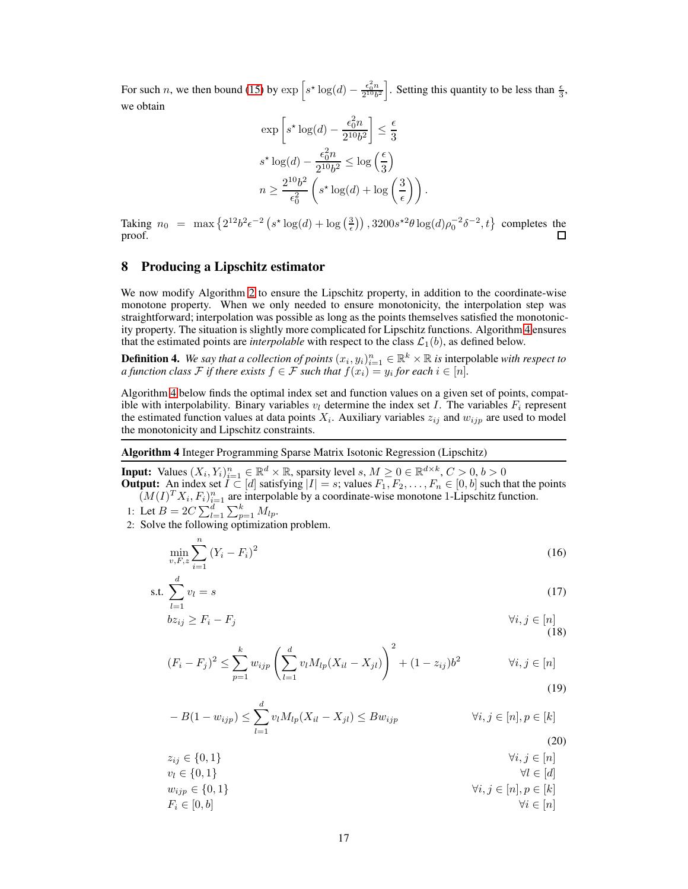For such *n*, we then bound [\(15\)](#page-15-0) by  $\exp\left[s^* \log(d) - \frac{\epsilon_0^2 n}{2^{10} b^2}\right]$ . Setting this quantity to be less than  $\frac{\epsilon}{3}$ , we obtain

$$
\exp\left[s^* \log(d) - \frac{\epsilon_0^2 n}{2^{10} b^2}\right] \le \frac{\epsilon}{3}
$$
  

$$
s^* \log(d) - \frac{\epsilon_0^2 n}{2^{10} b^2} \le \log\left(\frac{\epsilon}{3}\right)
$$
  

$$
n \ge \frac{2^{10} b^2}{\epsilon_0^2} \left(s^* \log(d) + \log\left(\frac{3}{\epsilon}\right)\right).
$$

Taking  $n_0 = \max\left\{2^{12}b^2\epsilon^{-2}\left(s^*\log(d) + \log\left(\frac{3}{\epsilon}\right)\right), 3200s^{*2}\theta\log(d)\rho_0^{-2}\delta^{-2}, t\right\}$  completes the proof. П

# <span id="page-16-0"></span>8 Producing a Lipschitz estimator

We now modify Algorithm [2](#page-4-2) to ensure the Lipschitz property, in addition to the coordinate-wise monotone property. When we only needed to ensure monotonicity, the interpolation step was straightforward; interpolation was possible as long as the points themselves satisfied the monotonicity property. The situation is slightly more complicated for Lipschitz functions. Algorithm [4](#page-16-1) ensures that the estimated points are *interpolable* with respect to the class  $\mathcal{L}_1(b)$ , as defined below.

**Definition 4.** We say that a collection of points  $(x_i, y_i)_{i=1}^n \in \mathbb{R}^k \times \mathbb{R}$  is interpolable with respect to *a function class*  $\mathcal F$  *if there exists*  $f \in \mathcal F$  *such that*  $f(x_i) = y_i$  *for each*  $i \in [n]$ *.* 

Algorithm [4](#page-16-1) below finds the optimal index set and function values on a given set of points, compatible with interpolability. Binary variables  $v_l$  determine the index set I. The variables  $F_i$  represent the estimated function values at data points  $X_i$ . Auxiliary variables  $z_{ij}$  and  $w_{ijp}$  are used to model the monotonicity and Lipschitz constraints.

<span id="page-16-1"></span>Algorithm 4 Integer Programming Sparse Matrix Isotonic Regression (Lipschitz)

**Input:** Values  $(X_i, Y_i)_{i=1}^n \in \mathbb{R}^d \times \mathbb{R}$ , sparsity level  $s, M \geq 0 \in \mathbb{R}^{d \times k}, C > 0, b > 0$ **Output:** An index set  $I \subset [d]$  satisfying  $|I| = s$ ; values  $F_1, F_2, \ldots, F_n \in [0, b]$  such that the points  $(M(I)^T X_i, F_i)_{i=1}^n$  are interpolable by a coordinate-wise monotone 1-Lipschitz function.

1: Let 
$$
B = 2C \sum_{l=1}^{d} \sum_{p=1}^{k} M_{lp}
$$
.

2: Solve the following optimization problem.

<span id="page-16-6"></span><span id="page-16-3"></span>
$$
\min_{v, F, z} \sum_{i=1}^{n} (Y_i - F_i)^2
$$
\n(16)

$$
\text{s.t. } \sum_{l=1}^{d} v_l = s \tag{17}
$$

$$
bz_{ij} \ge F_i - F_j \qquad \forall i, j \in [n] \tag{18}
$$

<span id="page-16-4"></span>
$$
(F_i - F_j)^2 \le \sum_{p=1}^k w_{ijp} \left( \sum_{l=1}^d v_l M_{lp}(X_{il} - X_{jl}) \right)^2 + (1 - z_{ij})b^2 \qquad \forall i, j \in [n]
$$
\n(19)

<span id="page-16-5"></span><span id="page-16-2"></span>
$$
-B(1 - w_{ijp}) \le \sum_{l=1}^{d} v_l M_{lp}(X_{il} - X_{jl}) \le Bw_{ijp} \qquad \forall i, j \in [n], p \in [k]
$$
\n(20)

 $z_{ij} \in \{0, 1\}$   $\forall i, j \in [n]$  $v_l \in \{0, 1\}$   $\forall l \in [d]$  $w_{ijp} \in \{0, 1\}$ <br>  $F_i \in [0, b]$ <br>  $\forall i, j \in [n], p \in [k]$ <br>  $\forall i \in [n]$  $F_i \in [0, b]$   $\forall i \in [n]$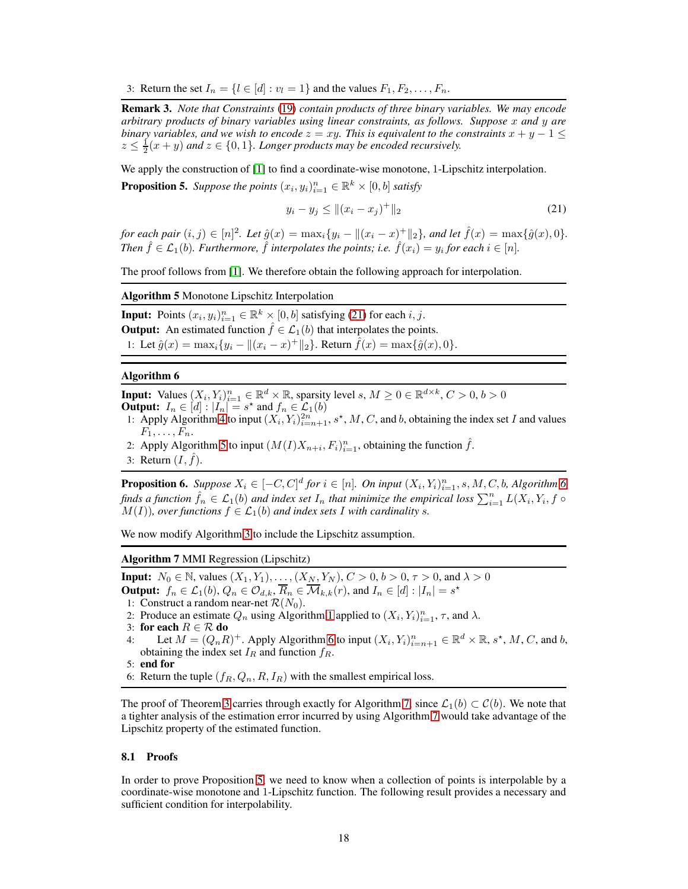3: Return the set  $I_n = \{l \in [d] : v_l = 1\}$  and the values  $F_1, F_2, \ldots, F_n$ .

Remark 3. *Note that Constraints* [\(19\)](#page-16-2) *contain products of three binary variables. We may encode arbitrary products of binary variables using linear constraints, as follows. Suppose* x *and* y *are binary variables, and we wish to encode*  $z = xy$ *. This is equivalent to the constraints*  $x + y - 1 \leq$  $z \leq \frac{1}{2}(x+y)$  and  $z \in \{0,1\}$ *. Longer products may be encoded recursively.* 

<span id="page-17-4"></span>We apply the construction of [\[1\]](#page-8-14) to find a coordinate-wise monotone, 1-Lipschitz interpolation. **Proposition 5.** Suppose the points  $(x_i, y_i)_{i=1}^n \in \mathbb{R}^k \times [0, b]$  satisfy

<span id="page-17-0"></span>
$$
y_i - y_j \le ||(x_i - x_j)^+||_2 \tag{21}
$$

*for each pair*  $(i, j) \in [n]^2$ *. Let*  $\hat{g}(x) = \max_i \{y_i - ||(x_i - x)^+||_2\}$ *, and let*  $\hat{f}(x) = \max\{\hat{g}(x), 0\}$ *. Then*  $\hat{f} \in \mathcal{L}_1(b)$ *. Furthermore,*  $\hat{f}$  *interpolates the points; i.e.*  $\hat{f}(x_i) = y_i$  *for each*  $i \in [n]$ *.* 

<span id="page-17-1"></span>The proof follows from [\[1\]](#page-8-14). We therefore obtain the following approach for interpolation.

Algorithm 5 Monotone Lipschitz Interpolation

**Input:** Points  $(x_i, y_i)_{i=1}^n \in \mathbb{R}^k \times [0, b]$  satisfying [\(21\)](#page-17-0) for each  $i, j$ . **Output:** An estimated function  $\hat{f} \in \mathcal{L}_1(b)$  that interpolates the points. 1: Let  $\hat{g}(x) = \max_i \{y_i - ||(x_i - x)^+||_2\}$ . Return  $\hat{f}(x) = \max\{\hat{g}(x), 0\}$ .

#### <span id="page-17-2"></span>Algorithm 6

**Input:** Values  $(X_i, Y_i)_{i=1}^n \in \mathbb{R}^d \times \mathbb{R}$ , sparsity level  $s, M \geq 0 \in \mathbb{R}^{d \times k}, C > 0, b > 0$ **Output:**  $I_n \in [d]$ :  $|I_n| = s^*$  and  $f_n \in \mathcal{L}_1(b)$ 

- 1: Apply Algorithm [4](#page-16-1) to input  $(X_i, Y_i)_{i=n+1}^{2n}$ , s<sup>\*</sup>, M, C, and b, obtaining the index set I and values  $F_1, \ldots, F_n$ .
- 2: Apply Algorithm [5](#page-17-1) to input  $(M(I)X_{n+i}, F_i)_{i=1}^n$ , obtaining the function  $\hat{f}$ .

3: Return  $(I, \tilde{f})$ .

<span id="page-17-5"></span>**Proposition [6](#page-17-2).** Suppose  $X_i \in [-C, C]^d$  for  $i \in [n]$ . On input  $(X_i, Y_i)_{i=1}^n$ , s, M, C, b, Algorithm 6 *finds a function*  $\hat{f}_n \in \mathcal{L}_1(b)$  *and index set*  $I_n$  *that minimize the empirical loss*  $\sum_{i=1}^n L(X_i, Y_i, f \circ L(X_i))$  $M(I)$ *), over functions*  $f \in \mathcal{L}_1(b)$  *and index sets* I *with cardinality s*.

<span id="page-17-3"></span>We now modify Algorithm [3](#page-5-2) to include the Lipschitz assumption.

Algorithm 7 MMI Regression (Lipschitz)

**Input:**  $N_0 \in \mathbb{N}$ , values  $(X_1, Y_1), \dots, (X_N, Y_N)$ ,  $C > 0$ ,  $b > 0$ ,  $\tau > 0$ , and  $\lambda > 0$ 

**Output:**  $f_n \in \mathcal{L}_1(b)$ ,  $Q_n \in \mathcal{O}_{d,k}$ ,  $\overline{R}_n \in \overline{\mathcal{M}}_{k,k}(r)$ , and  $I_n \in [d] : |I_n| = s^*$ 

- 1: Construct a random near-net  $\mathcal{R}(N_0)$ .
- 2: Produce an estimate  $Q_n$  using Algorithm [1](#page-3-2) applied to  $(X_i, Y_i)_{i=1}^n$ ,  $\tau$ , and  $\lambda$ .
- 3: for each  $R \in \mathcal{R}$  do<br>4: Let  $M = (Q_n, R_n)$
- 4: Let  $M = (Q_n R)^+$ . Apply Algorithm [6](#page-17-2) to input  $(X_i, Y_i)_{i=n+1}^n \in \mathbb{R}^d \times \mathbb{R}, s^*, M, C$ , and b, obtaining the index set  $I_R$  and function  $f_R$ .

6: Return the tuple  $(f_R, Q_n, R, I_R)$  with the smallest empirical loss.

The proof of Theorem [3](#page-5-1) carries through exactly for Algorithm [7,](#page-17-3) since  $\mathcal{L}_1(b) \subset \mathcal{C}(b)$ . We note that a tighter analysis of the estimation error incurred by using Algorithm [7](#page-17-3) would take advantage of the Lipschitz property of the estimated function.

#### 8.1 Proofs

In order to prove Proposition [5,](#page-17-4) we need to know when a collection of points is interpolable by a coordinate-wise monotone and 1-Lipschitz function. The following result provides a necessary and sufficient condition for interpolability.

<sup>5:</sup> end for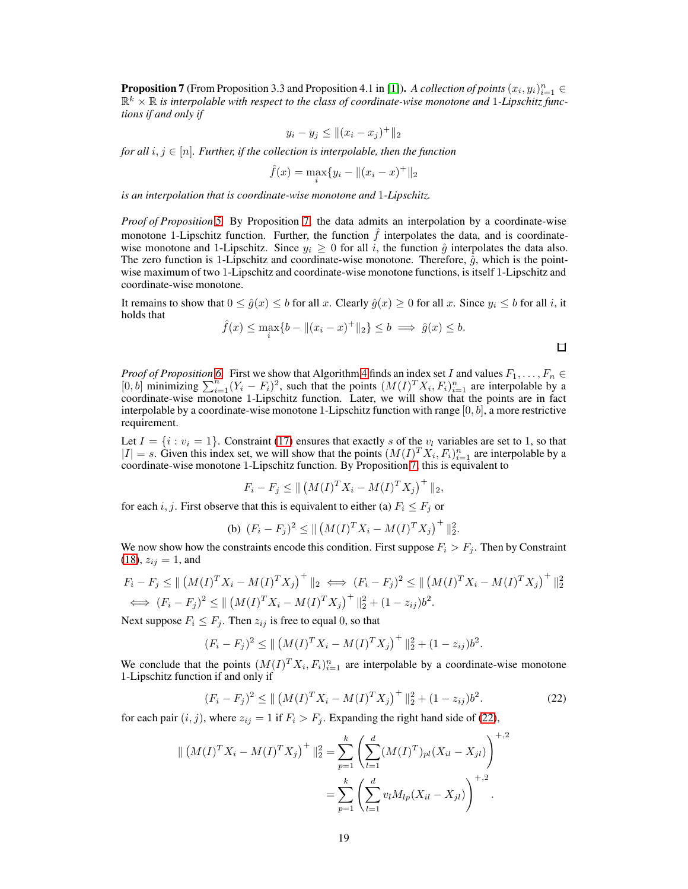<span id="page-18-0"></span>**Proposition 7** (From Proposition 3.3 and Proposition 4.1 in [\[1\]](#page-8-14)). *A collection of points*  $(x_i, y_i)_{i=1}^n \in$  $\mathbb{R}^k \times \mathbb{R}$  *is interpolable with respect to the class of coordinate-wise monotone and 1-Lipschitz functions if and only if*

$$
y_i - y_j \le ||(x_i - x_j)^+||_2
$$

*for all*  $i, j \in [n]$ *. Further, if the collection is interpolable, then the function* 

$$
\hat{f}(x) = \max_{i} \{ y_i - ||(x_i - x)^{+}||_2
$$

*is an interpolation that is coordinate-wise monotone and* 1*-Lipschitz.*

*Proof of Proposition [5.](#page-17-4)* By Proposition [7,](#page-18-0) the data admits an interpolation by a coordinate-wise monotone 1-Lipschitz function. Further, the function  $\hat{f}$  interpolates the data, and is coordinatewise monotone and 1-Lipschitz. Since  $y_i \geq 0$  for all i, the function  $\hat{q}$  interpolates the data also. The zero function is 1-Lipschitz and coordinate-wise monotone. Therefore,  $\hat{g}$ , which is the pointwise maximum of two 1-Lipschitz and coordinate-wise monotone functions, is itself 1-Lipschitz and coordinate-wise monotone.

It remains to show that  $0 \le \hat{g}(x) \le b$  for all x. Clearly  $\hat{g}(x) \ge 0$  for all x. Since  $y_i \le b$  for all i, it holds that

$$
\hat{f}(x) \le \max_{i} \{ b - ||(x_i - x)^+||_2 \} \le b \implies \hat{g}(x) \le b.
$$

*Proof of Proposition* [6.](#page-17-5) First we show that Algorithm [4](#page-16-1) finds an index set I and values  $F_1, \ldots, F_n \in$  $[0, b]$  minimizing  $\sum_{i=1}^{n} (Y_i - F_i)^2$ , such that the points  $(M(I)^T X_i, F_i)_{i=1}^n$  are interpolable by a coordinate-wise monotone 1-Lipschitz function. Later, we will show that the points are in fact interpolable by a coordinate-wise monotone 1-Lipschitz function with range  $[0, b]$ , a more restrictive requirement.

Let  $I = \{i : v_i = 1\}$ . Constraint [\(17\)](#page-16-3) ensures that exactly s of the  $v_i$  variables are set to 1, so that  $|I| = s$ . Given this index set, we will show that the points  $(M(I)^T X_i, F_i)_{i=1}^n$  are interpolable by a coordinate-wise monotone 1-Lipschitz function. By Proposition [7,](#page-18-0) this is equivalent to

$$
F_i - F_j \le || (M(I)^T X_i - M(I)^T X_j)^{+} ||_2,
$$

for each i, j. First observe that this is equivalent to either (a)  $F_i \leq F_j$  or

(b) 
$$
(F_i - F_j)^2 \le ||(M(I)^T X_i - M(I)^T X_j)^{+}||_2^2
$$
.

We now show how the constraints encode this condition. First suppose  $F_i > F_j$ . Then by Constraint  $(18)$ ,  $z_{ij} = 1$ , and

$$
F_i - F_j \le || (M(I)^T X_i - M(I)^T X_j)^+ ||_2 \iff (F_i - F_j)^2 \le || (M(I)^T X_i - M(I)^T X_j)^+ ||_2^2
$$
  
\n
$$
\iff (F_i - F_j)^2 \le || (M(I)^T X_i - M(I)^T X_j)^+ ||_2^2 + (1 - z_{ij})b^2.
$$

Next suppose  $F_i \leq F_j$ . Then  $z_{ij}$  is free to equal 0, so that

$$
(F_i - F_j)^2 \le || (M(I)^T X_i - M(I)^T X_j)^+ ||_2^2 + (1 - z_{ij})b^2.
$$

We conclude that the points  $(M(I)^T X_i, F_i)_{i=1}^n$  are interpolable by a coordinate-wise monotone 1-Lipschitz function if and only if

<span id="page-18-1"></span>
$$
(F_i - F_j)^2 \le ||(M(I)^T X_i - M(I)^T X_j)^{+}||_2^2 + (1 - z_{ij})b^2.
$$
 (22)

for each pair  $(i, j)$ , where  $z_{ij} = 1$  if  $F_i > F_j$ . Expanding the right hand side of [\(22\)](#page-18-1),

$$
\| (M(I)^T X_i - M(I)^T X_j)^+ \|_2^2 = \sum_{p=1}^k \left( \sum_{l=1}^d (M(I)^T)_{pl} (X_{il} - X_{jl}) \right)^{+,2}
$$
  
= 
$$
\sum_{p=1}^k \left( \sum_{l=1}^d v_l M_{lp} (X_{il} - X_{jl}) \right)^{+,2}.
$$